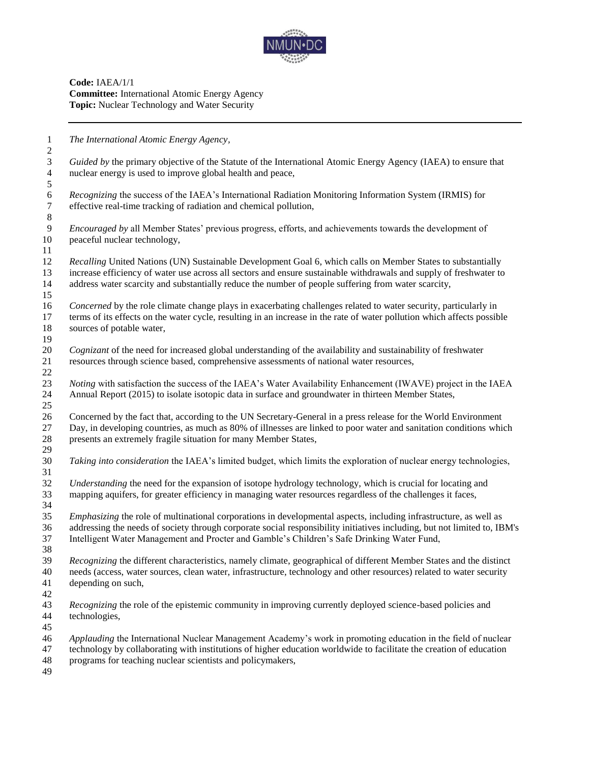

**Code:** IAEA/1/1 **Committee:** International Atomic Energy Agency **Topic:** Nuclear Technology and Water Security

 *The International Atomic Energy Agency, Guided by* the primary objective of the Statute of the International Atomic Energy Agency (IAEA) to ensure that nuclear energy is used to improve global health and peace, *Recognizing* the success of the IAEA's International Radiation Monitoring Information System (IRMIS) for effective real-time tracking of radiation and chemical pollution, effective real-time tracking of radiation and chemical pollution, *Encouraged by* all Member States' previous progress, efforts, and achievements towards the development of peaceful nuclear technology, *Recalling* United Nations (UN) Sustainable Development Goal 6, which calls on Member States to substantially increase efficiency of water use across all sectors and ensure sustainable withdrawals and supply of freshwater to address water scarcity and substantially reduce the number of people suffering from water scarcity, *Concerned* by the role climate change plays in exacerbating challenges related to water security, particularly in terms of its effects on the water cycle, resulting in an increase in the rate of water pollution which affects possible sources of potable water, *Cognizant* of the need for increased global understanding of the availability and sustainability of freshwater resources through science based, comprehensive assessments of national water resources, *Noting* with satisfaction the success of the IAEA's Water Availability Enhancement (IWAVE) project in the IAEA Annual Report (2015) to isolate isotopic data in surface and groundwater in thirteen Member States, Concerned by the fact that, according to the UN Secretary-General in a press release for the World Environment Day, in developing countries, as much as 80% of illnesses are linked to poor water and sanitation conditions which presents an extremely fragile situation for many Member States, *Taking into consideration* the IAEA's limited budget, which limits the exploration of nuclear energy technologies, *Understanding* the need for the expansion of isotope hydrology technology, which is crucial for locating and mapping aquifers, for greater efficiency in managing water resources regardless of the challenges it faces, *Emphasizing* the role of multinational corporations in developmental aspects, including infrastructure, as well as addressing the needs of society through corporate social responsibility initiatives including, but not limited to, IBM's Intelligent Water Management and Procter and Gamble's Children's Safe Drinking Water Fund, *Recognizing* the different characteristics, namely climate, geographical of different Member States and the distinct needs (access, water sources, clean water, infrastructure, technology and other resources) related to water security depending on such, *Recognizing* the role of the epistemic community in improving currently deployed science-based policies and technologies, *Applauding* the International Nuclear Management Academy's work in promoting education in the field of nuclear technology by collaborating with institutions of higher education worldwide to facilitate the creation of education programs for teaching nuclear scientists and policymakers,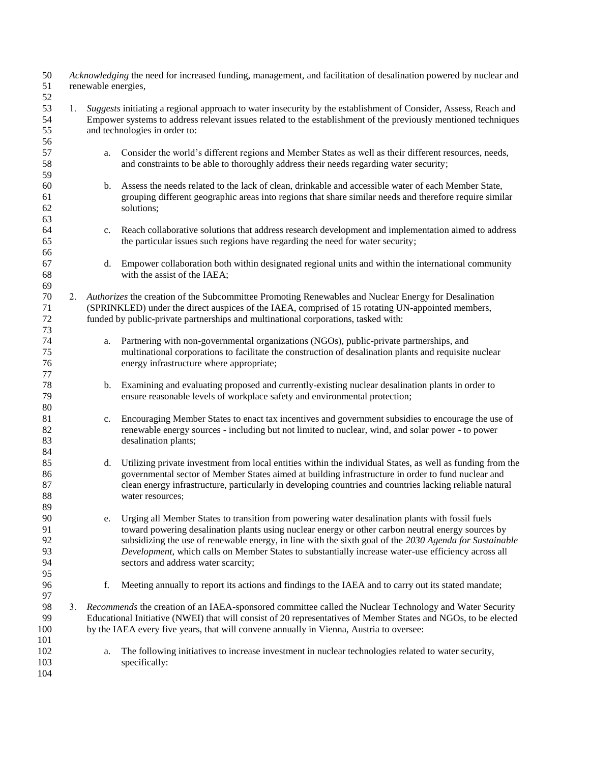| 50<br>51<br>52             |    | Acknowledging the need for increased funding, management, and facilitation of desalination powered by nuclear and<br>renewable energies,                                                                                                                           |                                                                                                                                                                                                                                                                                                                                                                                                                                                                 |  |  |
|----------------------------|----|--------------------------------------------------------------------------------------------------------------------------------------------------------------------------------------------------------------------------------------------------------------------|-----------------------------------------------------------------------------------------------------------------------------------------------------------------------------------------------------------------------------------------------------------------------------------------------------------------------------------------------------------------------------------------------------------------------------------------------------------------|--|--|
| 53<br>54<br>55<br>56       | 1. | Suggests initiating a regional approach to water insecurity by the establishment of Consider, Assess, Reach and<br>Empower systems to address relevant issues related to the establishment of the previously mentioned techniques<br>and technologies in order to: |                                                                                                                                                                                                                                                                                                                                                                                                                                                                 |  |  |
| 57<br>58<br>59             |    | a.                                                                                                                                                                                                                                                                 | Consider the world's different regions and Member States as well as their different resources, needs,<br>and constraints to be able to thoroughly address their needs regarding water security;                                                                                                                                                                                                                                                                 |  |  |
| 60<br>61<br>62<br>63       |    | b.                                                                                                                                                                                                                                                                 | Assess the needs related to the lack of clean, drinkable and accessible water of each Member State,<br>grouping different geographic areas into regions that share similar needs and therefore require similar<br>solutions;                                                                                                                                                                                                                                    |  |  |
| 64<br>65<br>66             |    | c.                                                                                                                                                                                                                                                                 | Reach collaborative solutions that address research development and implementation aimed to address<br>the particular issues such regions have regarding the need for water security;                                                                                                                                                                                                                                                                           |  |  |
| 67<br>68<br>69             |    | d.                                                                                                                                                                                                                                                                 | Empower collaboration both within designated regional units and within the international community<br>with the assist of the IAEA;                                                                                                                                                                                                                                                                                                                              |  |  |
| 70<br>71<br>72<br>73       |    |                                                                                                                                                                                                                                                                    | 2. Authorizes the creation of the Subcommittee Promoting Renewables and Nuclear Energy for Desalination<br>(SPRINKLED) under the direct auspices of the IAEA, comprised of 15 rotating UN-appointed members,<br>funded by public-private partnerships and multinational corporations, tasked with:                                                                                                                                                              |  |  |
| 74<br>75<br>76<br>77       |    | a.                                                                                                                                                                                                                                                                 | Partnering with non-governmental organizations (NGOs), public-private partnerships, and<br>multinational corporations to facilitate the construction of desalination plants and requisite nuclear<br>energy infrastructure where appropriate;                                                                                                                                                                                                                   |  |  |
| 78<br>79<br>80             |    | b.                                                                                                                                                                                                                                                                 | Examining and evaluating proposed and currently-existing nuclear desalination plants in order to<br>ensure reasonable levels of workplace safety and environmental protection;                                                                                                                                                                                                                                                                                  |  |  |
| 81<br>82<br>83<br>84       |    | c.                                                                                                                                                                                                                                                                 | Encouraging Member States to enact tax incentives and government subsidies to encourage the use of<br>renewable energy sources - including but not limited to nuclear, wind, and solar power - to power<br>desalination plants;                                                                                                                                                                                                                                 |  |  |
| 85<br>86<br>87<br>88<br>89 |    | d.                                                                                                                                                                                                                                                                 | Utilizing private investment from local entities within the individual States, as well as funding from the<br>governmental sector of Member States aimed at building infrastructure in order to fund nuclear and<br>clean energy infrastructure, particularly in developing countries and countries lacking reliable natural<br>water resources;                                                                                                                |  |  |
| 90<br>91<br>92<br>93<br>94 |    | e.                                                                                                                                                                                                                                                                 | Urging all Member States to transition from powering water desalination plants with fossil fuels<br>toward powering desalination plants using nuclear energy or other carbon neutral energy sources by<br>subsidizing the use of renewable energy, in line with the sixth goal of the 2030 Agenda for Sustainable<br>Development, which calls on Member States to substantially increase water-use efficiency across all<br>sectors and address water scarcity; |  |  |
| 95<br>96<br>97             |    | f.                                                                                                                                                                                                                                                                 | Meeting annually to report its actions and findings to the IAEA and to carry out its stated mandate;                                                                                                                                                                                                                                                                                                                                                            |  |  |
| 98<br>99<br>100            |    |                                                                                                                                                                                                                                                                    | 3. Recommends the creation of an IAEA-sponsored committee called the Nuclear Technology and Water Security<br>Educational Initiative (NWEI) that will consist of 20 representatives of Member States and NGOs, to be elected<br>by the IAEA every five years, that will convene annually in Vienna, Austria to oversee:                                                                                                                                         |  |  |
| 101<br>102<br>103<br>104   |    | a.                                                                                                                                                                                                                                                                 | The following initiatives to increase investment in nuclear technologies related to water security,<br>specifically:                                                                                                                                                                                                                                                                                                                                            |  |  |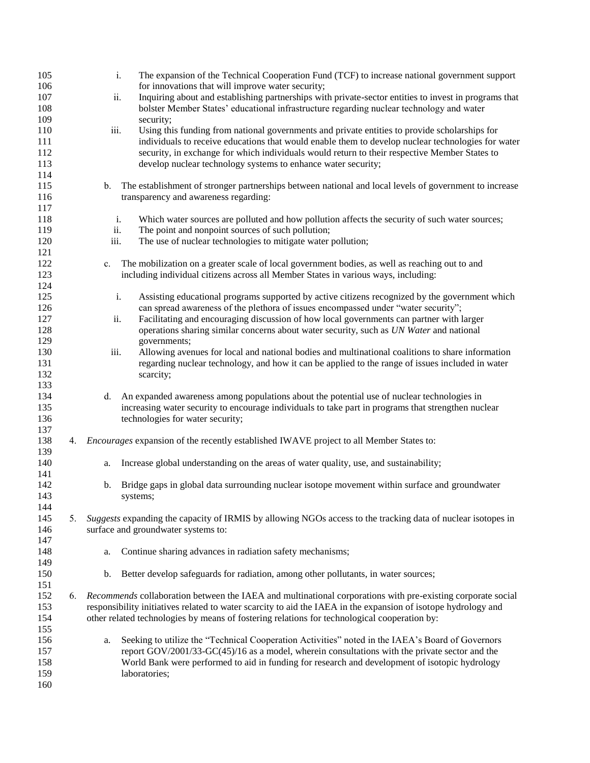| 105 |    |                | The expansion of the Technical Cooperation Fund (TCF) to increase national government support<br>i.            |
|-----|----|----------------|----------------------------------------------------------------------------------------------------------------|
| 106 |    |                | for innovations that will improve water security;                                                              |
| 107 |    | ii.            | Inquiring about and establishing partnerships with private-sector entities to invest in programs that          |
| 108 |    |                | bolster Member States' educational infrastructure regarding nuclear technology and water                       |
| 109 |    |                | security;                                                                                                      |
| 110 |    | iii.           | Using this funding from national governments and private entities to provide scholarships for                  |
| 111 |    |                | individuals to receive educations that would enable them to develop nuclear technologies for water             |
| 112 |    |                | security, in exchange for which individuals would return to their respective Member States to                  |
| 113 |    |                | develop nuclear technology systems to enhance water security;                                                  |
|     |    |                |                                                                                                                |
| 114 |    |                |                                                                                                                |
| 115 |    | $\mathbf{b}$ . | The establishment of stronger partnerships between national and local levels of government to increase         |
| 116 |    |                | transparency and awareness regarding:                                                                          |
| 117 |    |                |                                                                                                                |
| 118 |    | i.             | Which water sources are polluted and how pollution affects the security of such water sources;                 |
| 119 |    | ii.            | The point and nonpoint sources of such pollution;                                                              |
| 120 |    | iii.           | The use of nuclear technologies to mitigate water pollution;                                                   |
| 121 |    |                |                                                                                                                |
| 122 |    | c.             | The mobilization on a greater scale of local government bodies, as well as reaching out to and                 |
| 123 |    |                | including individual citizens across all Member States in various ways, including:                             |
| 124 |    |                |                                                                                                                |
|     |    |                |                                                                                                                |
| 125 |    |                | Assisting educational programs supported by active citizens recognized by the government which<br>i.           |
| 126 |    |                | can spread awareness of the plethora of issues encompassed under "water security";                             |
| 127 |    | ii.            | Facilitating and encouraging discussion of how local governments can partner with larger                       |
| 128 |    |                | operations sharing similar concerns about water security, such as UN Water and national                        |
| 129 |    |                | governments;                                                                                                   |
| 130 |    | iii.           | Allowing avenues for local and national bodies and multinational coalitions to share information               |
| 131 |    |                | regarding nuclear technology, and how it can be applied to the range of issues included in water               |
| 132 |    |                | scarcity;                                                                                                      |
| 133 |    |                |                                                                                                                |
| 134 |    | d.             | An expanded awareness among populations about the potential use of nuclear technologies in                     |
| 135 |    |                | increasing water security to encourage individuals to take part in programs that strengthen nuclear            |
| 136 |    |                |                                                                                                                |
|     |    |                | technologies for water security;                                                                               |
| 137 |    |                |                                                                                                                |
| 138 | 4. |                | <i>Encourages</i> expansion of the recently established IWAVE project to all Member States to:                 |
| 139 |    |                |                                                                                                                |
| 140 |    | a.             | Increase global understanding on the areas of water quality, use, and sustainability;                          |
| 141 |    |                |                                                                                                                |
| 142 |    | b.             | Bridge gaps in global data surrounding nuclear isotope movement within surface and groundwater                 |
| 143 |    |                | systems;                                                                                                       |
| 144 |    |                |                                                                                                                |
| 145 | 5. |                | Suggests expanding the capacity of IRMIS by allowing NGOs access to the tracking data of nuclear isotopes in   |
| 146 |    |                | surface and groundwater systems to:                                                                            |
| 147 |    |                |                                                                                                                |
| 148 |    | a.             | Continue sharing advances in radiation safety mechanisms;                                                      |
| 149 |    |                |                                                                                                                |
|     |    |                |                                                                                                                |
| 150 |    | b.             | Better develop safeguards for radiation, among other pollutants, in water sources;                             |
| 151 |    |                |                                                                                                                |
| 152 | 6. |                | Recommends collaboration between the IAEA and multinational corporations with pre-existing corporate social    |
| 153 |    |                | responsibility initiatives related to water scarcity to aid the IAEA in the expansion of isotope hydrology and |
| 154 |    |                | other related technologies by means of fostering relations for technological cooperation by:                   |
| 155 |    |                |                                                                                                                |
| 156 |    | a.             | Seeking to utilize the "Technical Cooperation Activities" noted in the IAEA's Board of Governors               |
| 157 |    |                | report $GOV/2001/33-GC(45)/16$ as a model, wherein consultations with the private sector and the               |
| 158 |    |                | World Bank were performed to aid in funding for research and development of isotopic hydrology                 |
| 159 |    |                | laboratories;                                                                                                  |
| 160 |    |                |                                                                                                                |
|     |    |                |                                                                                                                |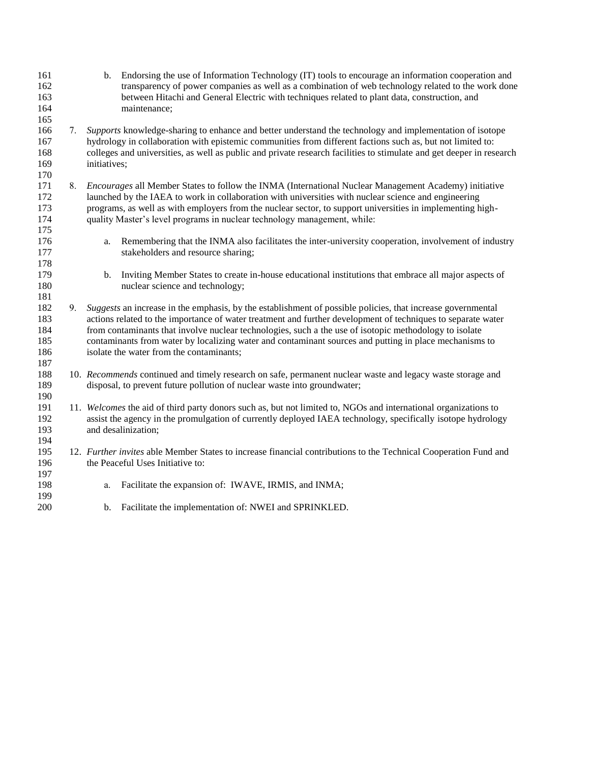| 161<br>162<br>163<br>164<br>165        |    | b. Endorsing the use of Information Technology (IT) tools to encourage an information cooperation and<br>transparency of power companies as well as a combination of web technology related to the work done<br>between Hitachi and General Electric with techniques related to plant data, construction, and<br>maintenance;                                                                                                                                                               |
|----------------------------------------|----|---------------------------------------------------------------------------------------------------------------------------------------------------------------------------------------------------------------------------------------------------------------------------------------------------------------------------------------------------------------------------------------------------------------------------------------------------------------------------------------------|
| 166<br>167<br>168<br>169<br>170        | 7. | Supports knowledge-sharing to enhance and better understand the technology and implementation of isotope<br>hydrology in collaboration with epistemic communities from different factions such as, but not limited to:<br>colleges and universities, as well as public and private research facilities to stimulate and get deeper in research<br>initiatives;                                                                                                                              |
| 171<br>172<br>173<br>174<br>175        | 8. | <i>Encourages</i> all Member States to follow the INMA (International Nuclear Management Academy) initiative<br>launched by the IAEA to work in collaboration with universities with nuclear science and engineering<br>programs, as well as with employers from the nuclear sector, to support universities in implementing high-<br>quality Master's level programs in nuclear technology management, while:                                                                              |
| 176<br>177<br>178                      |    | Remembering that the INMA also facilitates the inter-university cooperation, involvement of industry<br>a.<br>stakeholders and resource sharing;                                                                                                                                                                                                                                                                                                                                            |
| 179<br>180<br>181                      |    | Inviting Member States to create in-house educational institutions that embrace all major aspects of<br>b.<br>nuclear science and technology;                                                                                                                                                                                                                                                                                                                                               |
| 182<br>183<br>184<br>185<br>186<br>187 | 9. | Suggests an increase in the emphasis, by the establishment of possible policies, that increase governmental<br>actions related to the importance of water treatment and further development of techniques to separate water<br>from contaminants that involve nuclear technologies, such a the use of isotopic methodology to isolate<br>contaminants from water by localizing water and contaminant sources and putting in place mechanisms to<br>isolate the water from the contaminants; |
| 188<br>189<br>190                      |    | 10. Recommends continued and timely research on safe, permanent nuclear waste and legacy waste storage and<br>disposal, to prevent future pollution of nuclear waste into groundwater;                                                                                                                                                                                                                                                                                                      |
| 191<br>192<br>193<br>194               |    | 11. Welcomes the aid of third party donors such as, but not limited to, NGOs and international organizations to<br>assist the agency in the promulgation of currently deployed IAEA technology, specifically isotope hydrology<br>and desalinization;                                                                                                                                                                                                                                       |
| 195<br>196<br>197                      |    | 12. Further invites able Member States to increase financial contributions to the Technical Cooperation Fund and<br>the Peaceful Uses Initiative to:                                                                                                                                                                                                                                                                                                                                        |
| 198<br>199                             |    | Facilitate the expansion of: IWAVE, IRMIS, and INMA;<br>a.                                                                                                                                                                                                                                                                                                                                                                                                                                  |
| 200                                    |    | Facilitate the implementation of: NWEI and SPRINKLED.<br>b.                                                                                                                                                                                                                                                                                                                                                                                                                                 |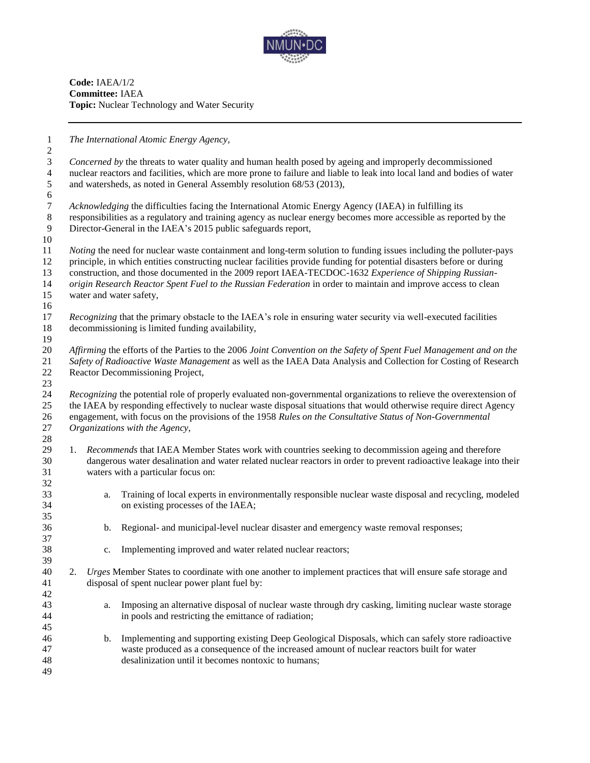

**Code:** IAEA/1/2 **Committee:** IAEA **Topic:** Nuclear Technology and Water Security

*The International Atomic Energy Agency,*

 *Concerned by* the threats to water quality and human health posed by ageing and improperly decommissioned nuclear reactors and facilities, which are more prone to failure and liable to leak into local land and bodies of water and watersheds, as noted in General Assembly resolution 68/53 (2013),

 *Acknowledging* the difficulties facing the International Atomic Energy Agency (IAEA) in fulfilling its responsibilities as a regulatory and training agency as nuclear energy becomes more accessible as reported by the Director-General in the IAEA's 2015 public safeguards report,

 *Noting* the need for nuclear waste containment and long-term solution to funding issues including the polluter-pays principle, in which entities constructing nuclear facilities provide funding for potential disasters before or during construction, and those documented in the 2009 report IAEA-TECDOC-1632 *Experience of Shipping Russian- origin Research Reactor Spent Fuel to the Russian Federation* in order to maintain and improve access to clean water and water safety,

- *Recognizing* that the primary obstacle to the IAEA's role in ensuring water security via well-executed facilities decommissioning is limited funding availability,
- $\frac{19}{20}$  *Affirming* the efforts of the Parties to the 2006 *Joint Convention on the Safety of Spent Fuel Management and on the Safety of Radioactive Waste Management* as well as the IAEA Data Analysis and Collection for Costing of Research Reactor Decommissioning Project,

 *Recognizing* the potential role of properly evaluated non-governmental organizations to relieve the overextension of the IAEA by responding effectively to nuclear waste disposal situations that would otherwise require direct Agency engagement, with focus on the provisions of the 1958 *Rules on the Consultative Status of Non-Governmental Organizations with the Agency*,

- 1. *Recommends* that IAEA Member States work with countries seeking to decommission ageing and therefore dangerous water desalination and water related nuclear reactors in order to prevent radioactive leakage into their waters with a particular focus on:
- a. Training of local experts in environmentally responsible nuclear waste disposal and recycling, modeled on existing processes of the IAEA;
- b. Regional- and municipal-level nuclear disaster and emergency waste removal responses;
- c. Implementing improved and water related nuclear reactors;
- 2. *Urges* Member States to coordinate with one another to implement practices that will ensure safe storage and disposal of spent nuclear power plant fuel by:
- a. Imposing an alternative disposal of nuclear waste through dry casking, limiting nuclear waste storage in pools and restricting the emittance of radiation;
- b. Implementing and supporting existing Deep Geological Disposals, which can safely store radioactive waste produced as a consequence of the increased amount of nuclear reactors built for water desalinization until it becomes nontoxic to humans;
-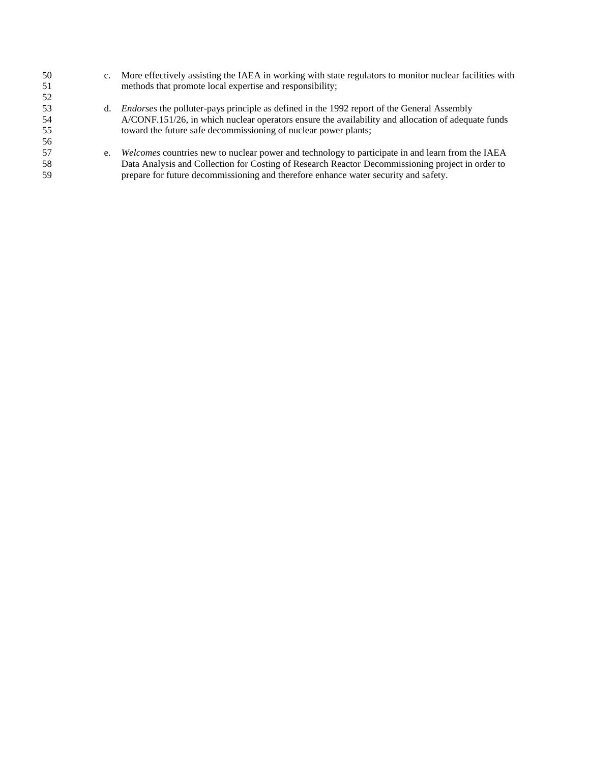| 50  | $c_{\cdot}$ | More effectively assisting the IAEA in working with state regulators to monitor nuclear facilities with |
|-----|-------------|---------------------------------------------------------------------------------------------------------|
| 51  |             | methods that promote local expertise and responsibility;                                                |
| 52  |             |                                                                                                         |
| 53  | d.          | <i>Endorses</i> the polluter-pays principle as defined in the 1992 report of the General Assembly       |
| -54 |             | A/CONF.151/26, in which nuclear operators ensure the availability and allocation of adequate funds      |
| 55  |             | toward the future safe decommissioning of nuclear power plants;                                         |
| 56  |             |                                                                                                         |
| 57  | e.          | Welcomes countries new to nuclear power and technology to participate in and learn from the IAEA        |
| 58  |             | Data Analysis and Collection for Costing of Research Reactor Decommissioning project in order to        |
| .59 |             | prepare for future decommissioning and therefore enhance water security and safety.                     |
|     |             |                                                                                                         |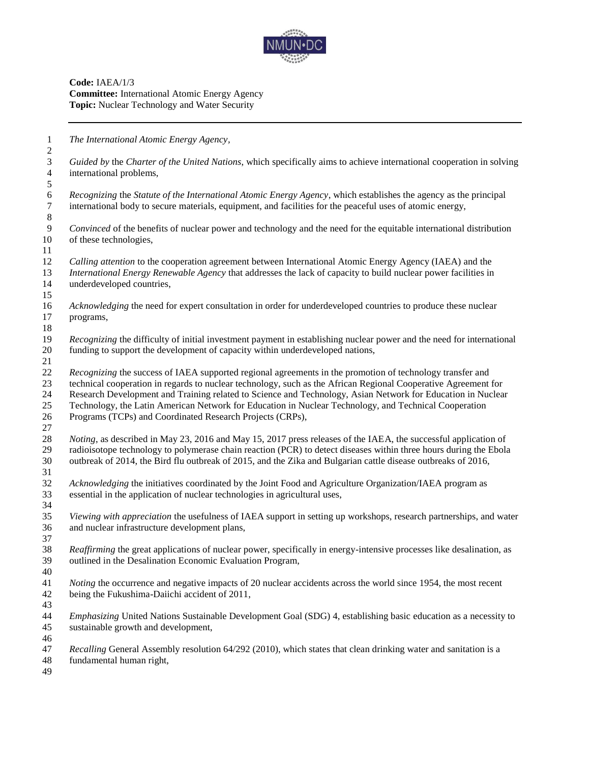

**Code:** IAEA/1/3 **Committee:** International Atomic Energy Agency **Topic:** Nuclear Technology and Water Security

 *The International Atomic Energy Agency, Guided by* the *Charter of the United Nations*, which specifically aims to achieve international cooperation in solving international problems, *Recognizing* the *Statute of the International Atomic Energy Agency*, which establishes the agency as the principal international body to secure materials, equipment, and facilities for the peaceful uses of atomic energy, *Convinced* of the benefits of nuclear power and technology and the need for the equitable international distribution of these technologies, *Calling attention* to the cooperation agreement between International Atomic Energy Agency (IAEA) and the *International Energy Renewable Agency* that addresses the lack of capacity to build nuclear power facilities in underdeveloped countries, *Acknowledging* the need for expert consultation in order for underdeveloped countries to produce these nuclear programs, *Recognizing* the difficulty of initial investment payment in establishing nuclear power and the need for international funding to support the development of capacity within underdeveloped nations, *Recognizing* the success of IAEA supported regional agreements in the promotion of technology transfer and technical cooperation in regards to nuclear technology, such as the African Regional Cooperative Agreement for Research Development and Training related to Science and Technology, Asian Network for Education in Nuclear Technology, the Latin American Network for Education in Nuclear Technology, and Technical Cooperation Programs (TCPs) and Coordinated Research Projects (CRPs), *Noting*, as described in May 23, 2016 and May 15, 2017 press releases of the IAEA, the successful application of radioisotope technology to polymerase chain reaction (PCR) to detect diseases within three hours during the Ebola outbreak of 2014, the Bird flu outbreak of 2015, and the Zika and Bulgarian cattle disease outbreaks of 2016, *Acknowledging* the initiatives coordinated by the Joint Food and Agriculture Organization/IAEA program as essential in the application of nuclear technologies in agricultural uses, *Viewing with appreciation* the usefulness of IAEA support in setting up workshops, research partnerships, and water and nuclear infrastructure development plans, *Reaffirming* the great applications of nuclear power, specifically in energy-intensive processes like desalination, as outlined in the Desalination Economic Evaluation Program, *Noting* the occurrence and negative impacts of 20 nuclear accidents across the world since 1954, the most recent being the Fukushima-Daiichi accident of 2011, *Emphasizing* United Nations Sustainable Development Goal (SDG) 4, establishing basic education as a necessity to sustainable growth and development, *Recalling* General Assembly resolution 64/292 (2010), which states that clean drinking water and sanitation is a fundamental human right,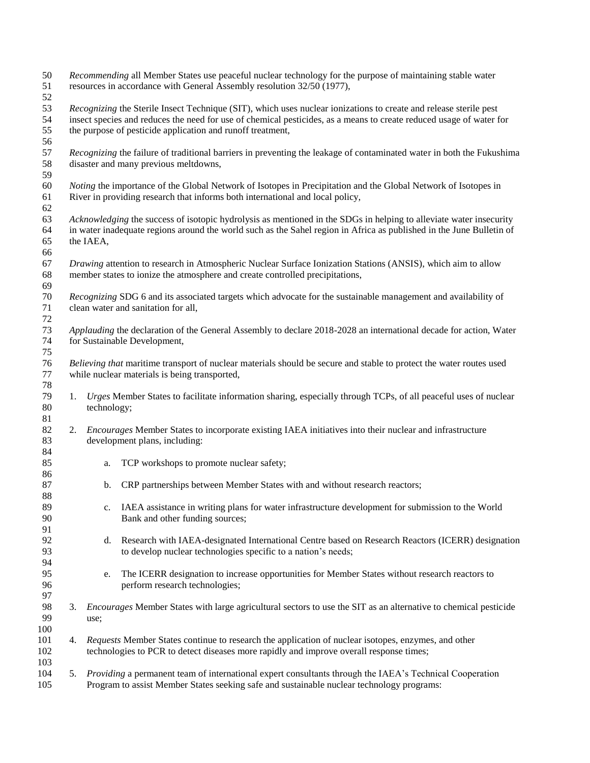| 50<br>51<br>52       |    | Recommending all Member States use peaceful nuclear technology for the purpose of maintaining stable water<br>resources in accordance with General Assembly resolution 32/50 (1977),                                                                                                                   |  |  |  |  |
|----------------------|----|--------------------------------------------------------------------------------------------------------------------------------------------------------------------------------------------------------------------------------------------------------------------------------------------------------|--|--|--|--|
| 53<br>54<br>55<br>56 |    | Recognizing the Sterile Insect Technique (SIT), which uses nuclear ionizations to create and release sterile pest<br>insect species and reduces the need for use of chemical pesticides, as a means to create reduced usage of water for<br>the purpose of pesticide application and runoff treatment, |  |  |  |  |
| 57<br>58<br>59       |    | Recognizing the failure of traditional barriers in preventing the leakage of contaminated water in both the Fukushima<br>disaster and many previous meltdowns,                                                                                                                                         |  |  |  |  |
| 60<br>61<br>62       |    | Noting the importance of the Global Network of Isotopes in Precipitation and the Global Network of Isotopes in<br>River in providing research that informs both international and local policy,                                                                                                        |  |  |  |  |
| 63<br>64<br>65<br>66 |    | Acknowledging the success of isotopic hydrolysis as mentioned in the SDGs in helping to alleviate water insecurity<br>in water inadequate regions around the world such as the Sahel region in Africa as published in the June Bulletin of<br>the IAEA,                                                |  |  |  |  |
| 67<br>68<br>69       |    | Drawing attention to research in Atmospheric Nuclear Surface Ionization Stations (ANSIS), which aim to allow<br>member states to ionize the atmosphere and create controlled precipitations,                                                                                                           |  |  |  |  |
| 70<br>71<br>72       |    | Recognizing SDG 6 and its associated targets which advocate for the sustainable management and availability of<br>clean water and sanitation for all,                                                                                                                                                  |  |  |  |  |
| 73<br>74<br>75       |    | Applauding the declaration of the General Assembly to declare 2018-2028 an international decade for action, Water<br>for Sustainable Development,                                                                                                                                                      |  |  |  |  |
| 76<br>77<br>78       |    | Believing that maritime transport of nuclear materials should be secure and stable to protect the water routes used<br>while nuclear materials is being transported,                                                                                                                                   |  |  |  |  |
| 79<br>80<br>81       | 1. | Urges Member States to facilitate information sharing, especially through TCPs, of all peaceful uses of nuclear<br>technology;                                                                                                                                                                         |  |  |  |  |
| 82<br>83<br>84       |    | 2. <i>Encourages</i> Member States to incorporate existing IAEA initiatives into their nuclear and infrastructure<br>development plans, including:                                                                                                                                                     |  |  |  |  |
| 85<br>86             |    | TCP workshops to promote nuclear safety;<br>a.                                                                                                                                                                                                                                                         |  |  |  |  |
| 87<br>88             |    | CRP partnerships between Member States with and without research reactors;<br>b.                                                                                                                                                                                                                       |  |  |  |  |
| 89<br>90<br>91       |    | IAEA assistance in writing plans for water infrastructure development for submission to the World<br>c.<br>Bank and other funding sources;                                                                                                                                                             |  |  |  |  |
| 92<br>93<br>94       |    | Research with IAEA-designated International Centre based on Research Reactors (ICERR) designation<br>d.<br>to develop nuclear technologies specific to a nation's needs;                                                                                                                               |  |  |  |  |
| 95<br>96<br>97       |    | The ICERR designation to increase opportunities for Member States without research reactors to<br>e.<br>perform research technologies;                                                                                                                                                                 |  |  |  |  |
| 98<br>99<br>100      | 3. | <i>Encourages</i> Member States with large agricultural sectors to use the SIT as an alternative to chemical pesticide<br>use;                                                                                                                                                                         |  |  |  |  |
| 101<br>102<br>103    | 4. | Requests Member States continue to research the application of nuclear isotopes, enzymes, and other<br>technologies to PCR to detect diseases more rapidly and improve overall response times;                                                                                                         |  |  |  |  |
| 104<br>105           | 5. | Providing a permanent team of international expert consultants through the IAEA's Technical Cooperation<br>Program to assist Member States seeking safe and sustainable nuclear technology programs:                                                                                                   |  |  |  |  |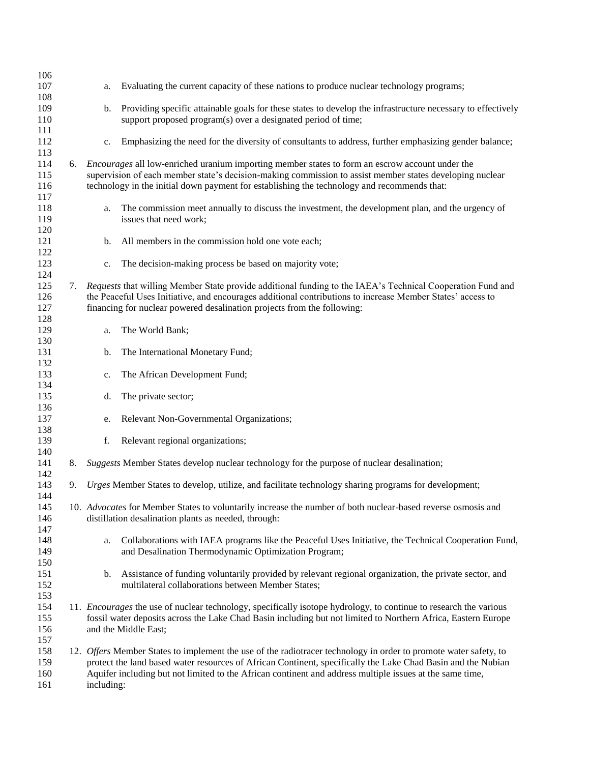| 106        |    |            |                                                                                                                                       |
|------------|----|------------|---------------------------------------------------------------------------------------------------------------------------------------|
| 107        |    | a.         | Evaluating the current capacity of these nations to produce nuclear technology programs;                                              |
| 108        |    |            |                                                                                                                                       |
| 109        |    | b.         | Providing specific attainable goals for these states to develop the infrastructure necessary to effectively                           |
| 110        |    |            | support proposed program(s) over a designated period of time;                                                                         |
| 111        |    |            |                                                                                                                                       |
| 112        |    | c.         | Emphasizing the need for the diversity of consultants to address, further emphasizing gender balance;                                 |
| 113        |    |            |                                                                                                                                       |
| 114        | 6. |            | <i>Encourages</i> all low-enriched uranium importing member states to form an escrow account under the                                |
| 115        |    |            | supervision of each member state's decision-making commission to assist member states developing nuclear                              |
| 116        |    |            | technology in the initial down payment for establishing the technology and recommends that:                                           |
| 117        |    |            |                                                                                                                                       |
| 118        |    | a.         | The commission meet annually to discuss the investment, the development plan, and the urgency of                                      |
| 119        |    |            | issues that need work;                                                                                                                |
| 120        |    |            |                                                                                                                                       |
| 121<br>122 |    | b.         | All members in the commission hold one vote each;                                                                                     |
| 123        |    | c.         | The decision-making process be based on majority vote;                                                                                |
| 124        |    |            |                                                                                                                                       |
| 125        | 7. |            | Requests that willing Member State provide additional funding to the IAEA's Technical Cooperation Fund and                            |
| 126        |    |            | the Peaceful Uses Initiative, and encourages additional contributions to increase Member States' access to                            |
| 127        |    |            | financing for nuclear powered desalination projects from the following:                                                               |
| 128        |    |            |                                                                                                                                       |
| 129        |    | a.         | The World Bank;                                                                                                                       |
| 130        |    |            |                                                                                                                                       |
| 131        |    | b.         | The International Monetary Fund;                                                                                                      |
| 132        |    |            |                                                                                                                                       |
| 133        |    | c.         | The African Development Fund;                                                                                                         |
| 134        |    |            |                                                                                                                                       |
| 135        |    | d.         | The private sector;                                                                                                                   |
| 136        |    |            |                                                                                                                                       |
| 137        |    | e.         | Relevant Non-Governmental Organizations;                                                                                              |
| 138        |    | f.         |                                                                                                                                       |
| 139<br>140 |    |            | Relevant regional organizations;                                                                                                      |
| 141        | 8. |            | Suggests Member States develop nuclear technology for the purpose of nuclear desalination;                                            |
| 142        |    |            |                                                                                                                                       |
| 143        | 9. |            | Urges Member States to develop, utilize, and facilitate technology sharing programs for development;                                  |
| 144        |    |            |                                                                                                                                       |
| 145        |    |            | 10. Advocates for Member States to voluntarily increase the number of both nuclear-based reverse osmosis and                          |
| 146        |    |            | distillation desalination plants as needed, through:                                                                                  |
| 147        |    |            |                                                                                                                                       |
| 148        |    | a.         | Collaborations with IAEA programs like the Peaceful Uses Initiative, the Technical Cooperation Fund,                                  |
| 149        |    |            | and Desalination Thermodynamic Optimization Program;                                                                                  |
| 150        |    |            |                                                                                                                                       |
| 151        |    |            | b. Assistance of funding voluntarily provided by relevant regional organization, the private sector, and                              |
| 152        |    |            | multilateral collaborations between Member States;                                                                                    |
| 153        |    |            |                                                                                                                                       |
| 154        |    |            | 11. <i>Encourages</i> the use of nuclear technology, specifically isotope hydrology, to continue to research the various              |
| 155<br>156 |    |            | fossil water deposits across the Lake Chad Basin including but not limited to Northern Africa, Eastern Europe<br>and the Middle East; |
| 157        |    |            |                                                                                                                                       |
| 158        |    |            | 12. Offers Member States to implement the use of the radiotracer technology in order to promote water safety, to                      |
| 159        |    |            | protect the land based water resources of African Continent, specifically the Lake Chad Basin and the Nubian                          |
| 160        |    |            | Aquifer including but not limited to the African continent and address multiple issues at the same time,                              |
| 161        |    | including: |                                                                                                                                       |
|            |    |            |                                                                                                                                       |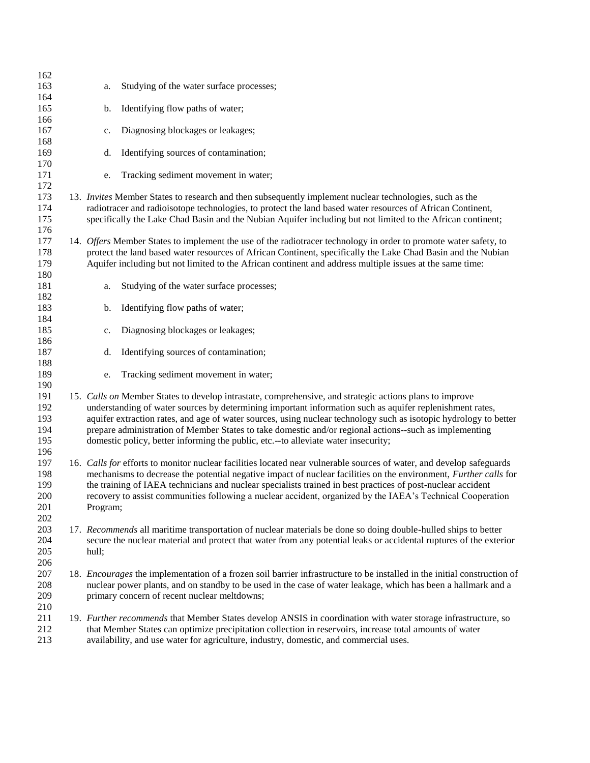| 163<br>Studying of the water surface processes;<br>a.<br>164<br>Identifying flow paths of water;<br>165<br>b.<br>166<br>167<br>Diagnosing blockages or leakages;<br>c.<br>168<br>Identifying sources of contamination;<br>169<br>d.<br>170<br>171<br>Tracking sediment movement in water;<br>e.<br>172<br>173<br>13. Invites Member States to research and then subsequently implement nuclear technologies, such as the<br>174<br>radiotracer and radioisotope technologies, to protect the land based water resources of African Continent,<br>175<br>specifically the Lake Chad Basin and the Nubian Aquifer including but not limited to the African continent;<br>176<br>177<br>14. Offers Member States to implement the use of the radiotracer technology in order to promote water safety, to<br>178<br>protect the land based water resources of African Continent, specifically the Lake Chad Basin and the Nubian<br>179<br>Aquifer including but not limited to the African continent and address multiple issues at the same time:<br>180<br>181<br>Studying of the water surface processes;<br>a.<br>182<br>183<br>Identifying flow paths of water;<br>b.<br>184<br>185<br>Diagnosing blockages or leakages;<br>c.<br>186<br>187<br>Identifying sources of contamination;<br>d.<br>188<br>189<br>Tracking sediment movement in water;<br>e.<br>190<br>191<br>15. Calls on Member States to develop intrastate, comprehensive, and strategic actions plans to improve<br>192<br>understanding of water sources by determining important information such as aquifer replenishment rates,<br>aquifer extraction rates, and age of water sources, using nuclear technology such as isotopic hydrology to better<br>193<br>prepare administration of Member States to take domestic and/or regional actions--such as implementing<br>194<br>195<br>domestic policy, better informing the public, etc.--to alleviate water insecurity;<br>196<br>197<br>16. Calls for efforts to monitor nuclear facilities located near vulnerable sources of water, and develop safeguards<br>198<br>mechanisms to decrease the potential negative impact of nuclear facilities on the environment, Further calls for<br>199<br>the training of IAEA technicians and nuclear specialists trained in best practices of post-nuclear accident<br>200<br>recovery to assist communities following a nuclear accident, organized by the IAEA's Technical Cooperation<br>201<br>Program;<br>202<br>203<br>17. Recommends all maritime transportation of nuclear materials be done so doing double-hulled ships to better<br>204<br>secure the nuclear material and protect that water from any potential leaks or accidental ruptures of the exterior<br>205<br>hull;<br>206<br>207<br>18. <i>Encourages</i> the implementation of a frozen soil barrier infrastructure to be installed in the initial construction of<br>208<br>nuclear power plants, and on standby to be used in the case of water leakage, which has been a hallmark and a<br>209<br>primary concern of recent nuclear meltdowns;<br>210<br>211<br>19. Further recommends that Member States develop ANSIS in coordination with water storage infrastructure, so<br>212<br>that Member States can optimize precipitation collection in reservoirs, increase total amounts of water<br>213<br>availability, and use water for agriculture, industry, domestic, and commercial uses. | 162 |  |  |
|----------------------------------------------------------------------------------------------------------------------------------------------------------------------------------------------------------------------------------------------------------------------------------------------------------------------------------------------------------------------------------------------------------------------------------------------------------------------------------------------------------------------------------------------------------------------------------------------------------------------------------------------------------------------------------------------------------------------------------------------------------------------------------------------------------------------------------------------------------------------------------------------------------------------------------------------------------------------------------------------------------------------------------------------------------------------------------------------------------------------------------------------------------------------------------------------------------------------------------------------------------------------------------------------------------------------------------------------------------------------------------------------------------------------------------------------------------------------------------------------------------------------------------------------------------------------------------------------------------------------------------------------------------------------------------------------------------------------------------------------------------------------------------------------------------------------------------------------------------------------------------------------------------------------------------------------------------------------------------------------------------------------------------------------------------------------------------------------------------------------------------------------------------------------------------------------------------------------------------------------------------------------------------------------------------------------------------------------------------------------------------------------------------------------------------------------------------------------------------------------------------------------------------------------------------------------------------------------------------------------------------------------------------------------------------------------------------------------------------------------------------------------------------------------------------------------------------------------------------------------------------------------------------------------------------------------------------------------------------------------------------------------------------------------------------------------------------------------------------------------------------------------------------------------------------------------------------------------------------------------------------------------------------------------------------------------------------------------------------------------------------------------------------------------------------------------|-----|--|--|
|                                                                                                                                                                                                                                                                                                                                                                                                                                                                                                                                                                                                                                                                                                                                                                                                                                                                                                                                                                                                                                                                                                                                                                                                                                                                                                                                                                                                                                                                                                                                                                                                                                                                                                                                                                                                                                                                                                                                                                                                                                                                                                                                                                                                                                                                                                                                                                                                                                                                                                                                                                                                                                                                                                                                                                                                                                                                                                                                                                                                                                                                                                                                                                                                                                                                                                                                                                                                                                              |     |  |  |
|                                                                                                                                                                                                                                                                                                                                                                                                                                                                                                                                                                                                                                                                                                                                                                                                                                                                                                                                                                                                                                                                                                                                                                                                                                                                                                                                                                                                                                                                                                                                                                                                                                                                                                                                                                                                                                                                                                                                                                                                                                                                                                                                                                                                                                                                                                                                                                                                                                                                                                                                                                                                                                                                                                                                                                                                                                                                                                                                                                                                                                                                                                                                                                                                                                                                                                                                                                                                                                              |     |  |  |
|                                                                                                                                                                                                                                                                                                                                                                                                                                                                                                                                                                                                                                                                                                                                                                                                                                                                                                                                                                                                                                                                                                                                                                                                                                                                                                                                                                                                                                                                                                                                                                                                                                                                                                                                                                                                                                                                                                                                                                                                                                                                                                                                                                                                                                                                                                                                                                                                                                                                                                                                                                                                                                                                                                                                                                                                                                                                                                                                                                                                                                                                                                                                                                                                                                                                                                                                                                                                                                              |     |  |  |
|                                                                                                                                                                                                                                                                                                                                                                                                                                                                                                                                                                                                                                                                                                                                                                                                                                                                                                                                                                                                                                                                                                                                                                                                                                                                                                                                                                                                                                                                                                                                                                                                                                                                                                                                                                                                                                                                                                                                                                                                                                                                                                                                                                                                                                                                                                                                                                                                                                                                                                                                                                                                                                                                                                                                                                                                                                                                                                                                                                                                                                                                                                                                                                                                                                                                                                                                                                                                                                              |     |  |  |
|                                                                                                                                                                                                                                                                                                                                                                                                                                                                                                                                                                                                                                                                                                                                                                                                                                                                                                                                                                                                                                                                                                                                                                                                                                                                                                                                                                                                                                                                                                                                                                                                                                                                                                                                                                                                                                                                                                                                                                                                                                                                                                                                                                                                                                                                                                                                                                                                                                                                                                                                                                                                                                                                                                                                                                                                                                                                                                                                                                                                                                                                                                                                                                                                                                                                                                                                                                                                                                              |     |  |  |
|                                                                                                                                                                                                                                                                                                                                                                                                                                                                                                                                                                                                                                                                                                                                                                                                                                                                                                                                                                                                                                                                                                                                                                                                                                                                                                                                                                                                                                                                                                                                                                                                                                                                                                                                                                                                                                                                                                                                                                                                                                                                                                                                                                                                                                                                                                                                                                                                                                                                                                                                                                                                                                                                                                                                                                                                                                                                                                                                                                                                                                                                                                                                                                                                                                                                                                                                                                                                                                              |     |  |  |
|                                                                                                                                                                                                                                                                                                                                                                                                                                                                                                                                                                                                                                                                                                                                                                                                                                                                                                                                                                                                                                                                                                                                                                                                                                                                                                                                                                                                                                                                                                                                                                                                                                                                                                                                                                                                                                                                                                                                                                                                                                                                                                                                                                                                                                                                                                                                                                                                                                                                                                                                                                                                                                                                                                                                                                                                                                                                                                                                                                                                                                                                                                                                                                                                                                                                                                                                                                                                                                              |     |  |  |
|                                                                                                                                                                                                                                                                                                                                                                                                                                                                                                                                                                                                                                                                                                                                                                                                                                                                                                                                                                                                                                                                                                                                                                                                                                                                                                                                                                                                                                                                                                                                                                                                                                                                                                                                                                                                                                                                                                                                                                                                                                                                                                                                                                                                                                                                                                                                                                                                                                                                                                                                                                                                                                                                                                                                                                                                                                                                                                                                                                                                                                                                                                                                                                                                                                                                                                                                                                                                                                              |     |  |  |
|                                                                                                                                                                                                                                                                                                                                                                                                                                                                                                                                                                                                                                                                                                                                                                                                                                                                                                                                                                                                                                                                                                                                                                                                                                                                                                                                                                                                                                                                                                                                                                                                                                                                                                                                                                                                                                                                                                                                                                                                                                                                                                                                                                                                                                                                                                                                                                                                                                                                                                                                                                                                                                                                                                                                                                                                                                                                                                                                                                                                                                                                                                                                                                                                                                                                                                                                                                                                                                              |     |  |  |
|                                                                                                                                                                                                                                                                                                                                                                                                                                                                                                                                                                                                                                                                                                                                                                                                                                                                                                                                                                                                                                                                                                                                                                                                                                                                                                                                                                                                                                                                                                                                                                                                                                                                                                                                                                                                                                                                                                                                                                                                                                                                                                                                                                                                                                                                                                                                                                                                                                                                                                                                                                                                                                                                                                                                                                                                                                                                                                                                                                                                                                                                                                                                                                                                                                                                                                                                                                                                                                              |     |  |  |
|                                                                                                                                                                                                                                                                                                                                                                                                                                                                                                                                                                                                                                                                                                                                                                                                                                                                                                                                                                                                                                                                                                                                                                                                                                                                                                                                                                                                                                                                                                                                                                                                                                                                                                                                                                                                                                                                                                                                                                                                                                                                                                                                                                                                                                                                                                                                                                                                                                                                                                                                                                                                                                                                                                                                                                                                                                                                                                                                                                                                                                                                                                                                                                                                                                                                                                                                                                                                                                              |     |  |  |
|                                                                                                                                                                                                                                                                                                                                                                                                                                                                                                                                                                                                                                                                                                                                                                                                                                                                                                                                                                                                                                                                                                                                                                                                                                                                                                                                                                                                                                                                                                                                                                                                                                                                                                                                                                                                                                                                                                                                                                                                                                                                                                                                                                                                                                                                                                                                                                                                                                                                                                                                                                                                                                                                                                                                                                                                                                                                                                                                                                                                                                                                                                                                                                                                                                                                                                                                                                                                                                              |     |  |  |
|                                                                                                                                                                                                                                                                                                                                                                                                                                                                                                                                                                                                                                                                                                                                                                                                                                                                                                                                                                                                                                                                                                                                                                                                                                                                                                                                                                                                                                                                                                                                                                                                                                                                                                                                                                                                                                                                                                                                                                                                                                                                                                                                                                                                                                                                                                                                                                                                                                                                                                                                                                                                                                                                                                                                                                                                                                                                                                                                                                                                                                                                                                                                                                                                                                                                                                                                                                                                                                              |     |  |  |
|                                                                                                                                                                                                                                                                                                                                                                                                                                                                                                                                                                                                                                                                                                                                                                                                                                                                                                                                                                                                                                                                                                                                                                                                                                                                                                                                                                                                                                                                                                                                                                                                                                                                                                                                                                                                                                                                                                                                                                                                                                                                                                                                                                                                                                                                                                                                                                                                                                                                                                                                                                                                                                                                                                                                                                                                                                                                                                                                                                                                                                                                                                                                                                                                                                                                                                                                                                                                                                              |     |  |  |
|                                                                                                                                                                                                                                                                                                                                                                                                                                                                                                                                                                                                                                                                                                                                                                                                                                                                                                                                                                                                                                                                                                                                                                                                                                                                                                                                                                                                                                                                                                                                                                                                                                                                                                                                                                                                                                                                                                                                                                                                                                                                                                                                                                                                                                                                                                                                                                                                                                                                                                                                                                                                                                                                                                                                                                                                                                                                                                                                                                                                                                                                                                                                                                                                                                                                                                                                                                                                                                              |     |  |  |
|                                                                                                                                                                                                                                                                                                                                                                                                                                                                                                                                                                                                                                                                                                                                                                                                                                                                                                                                                                                                                                                                                                                                                                                                                                                                                                                                                                                                                                                                                                                                                                                                                                                                                                                                                                                                                                                                                                                                                                                                                                                                                                                                                                                                                                                                                                                                                                                                                                                                                                                                                                                                                                                                                                                                                                                                                                                                                                                                                                                                                                                                                                                                                                                                                                                                                                                                                                                                                                              |     |  |  |
|                                                                                                                                                                                                                                                                                                                                                                                                                                                                                                                                                                                                                                                                                                                                                                                                                                                                                                                                                                                                                                                                                                                                                                                                                                                                                                                                                                                                                                                                                                                                                                                                                                                                                                                                                                                                                                                                                                                                                                                                                                                                                                                                                                                                                                                                                                                                                                                                                                                                                                                                                                                                                                                                                                                                                                                                                                                                                                                                                                                                                                                                                                                                                                                                                                                                                                                                                                                                                                              |     |  |  |
|                                                                                                                                                                                                                                                                                                                                                                                                                                                                                                                                                                                                                                                                                                                                                                                                                                                                                                                                                                                                                                                                                                                                                                                                                                                                                                                                                                                                                                                                                                                                                                                                                                                                                                                                                                                                                                                                                                                                                                                                                                                                                                                                                                                                                                                                                                                                                                                                                                                                                                                                                                                                                                                                                                                                                                                                                                                                                                                                                                                                                                                                                                                                                                                                                                                                                                                                                                                                                                              |     |  |  |
|                                                                                                                                                                                                                                                                                                                                                                                                                                                                                                                                                                                                                                                                                                                                                                                                                                                                                                                                                                                                                                                                                                                                                                                                                                                                                                                                                                                                                                                                                                                                                                                                                                                                                                                                                                                                                                                                                                                                                                                                                                                                                                                                                                                                                                                                                                                                                                                                                                                                                                                                                                                                                                                                                                                                                                                                                                                                                                                                                                                                                                                                                                                                                                                                                                                                                                                                                                                                                                              |     |  |  |
|                                                                                                                                                                                                                                                                                                                                                                                                                                                                                                                                                                                                                                                                                                                                                                                                                                                                                                                                                                                                                                                                                                                                                                                                                                                                                                                                                                                                                                                                                                                                                                                                                                                                                                                                                                                                                                                                                                                                                                                                                                                                                                                                                                                                                                                                                                                                                                                                                                                                                                                                                                                                                                                                                                                                                                                                                                                                                                                                                                                                                                                                                                                                                                                                                                                                                                                                                                                                                                              |     |  |  |
|                                                                                                                                                                                                                                                                                                                                                                                                                                                                                                                                                                                                                                                                                                                                                                                                                                                                                                                                                                                                                                                                                                                                                                                                                                                                                                                                                                                                                                                                                                                                                                                                                                                                                                                                                                                                                                                                                                                                                                                                                                                                                                                                                                                                                                                                                                                                                                                                                                                                                                                                                                                                                                                                                                                                                                                                                                                                                                                                                                                                                                                                                                                                                                                                                                                                                                                                                                                                                                              |     |  |  |
|                                                                                                                                                                                                                                                                                                                                                                                                                                                                                                                                                                                                                                                                                                                                                                                                                                                                                                                                                                                                                                                                                                                                                                                                                                                                                                                                                                                                                                                                                                                                                                                                                                                                                                                                                                                                                                                                                                                                                                                                                                                                                                                                                                                                                                                                                                                                                                                                                                                                                                                                                                                                                                                                                                                                                                                                                                                                                                                                                                                                                                                                                                                                                                                                                                                                                                                                                                                                                                              |     |  |  |
|                                                                                                                                                                                                                                                                                                                                                                                                                                                                                                                                                                                                                                                                                                                                                                                                                                                                                                                                                                                                                                                                                                                                                                                                                                                                                                                                                                                                                                                                                                                                                                                                                                                                                                                                                                                                                                                                                                                                                                                                                                                                                                                                                                                                                                                                                                                                                                                                                                                                                                                                                                                                                                                                                                                                                                                                                                                                                                                                                                                                                                                                                                                                                                                                                                                                                                                                                                                                                                              |     |  |  |
|                                                                                                                                                                                                                                                                                                                                                                                                                                                                                                                                                                                                                                                                                                                                                                                                                                                                                                                                                                                                                                                                                                                                                                                                                                                                                                                                                                                                                                                                                                                                                                                                                                                                                                                                                                                                                                                                                                                                                                                                                                                                                                                                                                                                                                                                                                                                                                                                                                                                                                                                                                                                                                                                                                                                                                                                                                                                                                                                                                                                                                                                                                                                                                                                                                                                                                                                                                                                                                              |     |  |  |
|                                                                                                                                                                                                                                                                                                                                                                                                                                                                                                                                                                                                                                                                                                                                                                                                                                                                                                                                                                                                                                                                                                                                                                                                                                                                                                                                                                                                                                                                                                                                                                                                                                                                                                                                                                                                                                                                                                                                                                                                                                                                                                                                                                                                                                                                                                                                                                                                                                                                                                                                                                                                                                                                                                                                                                                                                                                                                                                                                                                                                                                                                                                                                                                                                                                                                                                                                                                                                                              |     |  |  |
|                                                                                                                                                                                                                                                                                                                                                                                                                                                                                                                                                                                                                                                                                                                                                                                                                                                                                                                                                                                                                                                                                                                                                                                                                                                                                                                                                                                                                                                                                                                                                                                                                                                                                                                                                                                                                                                                                                                                                                                                                                                                                                                                                                                                                                                                                                                                                                                                                                                                                                                                                                                                                                                                                                                                                                                                                                                                                                                                                                                                                                                                                                                                                                                                                                                                                                                                                                                                                                              |     |  |  |
|                                                                                                                                                                                                                                                                                                                                                                                                                                                                                                                                                                                                                                                                                                                                                                                                                                                                                                                                                                                                                                                                                                                                                                                                                                                                                                                                                                                                                                                                                                                                                                                                                                                                                                                                                                                                                                                                                                                                                                                                                                                                                                                                                                                                                                                                                                                                                                                                                                                                                                                                                                                                                                                                                                                                                                                                                                                                                                                                                                                                                                                                                                                                                                                                                                                                                                                                                                                                                                              |     |  |  |
|                                                                                                                                                                                                                                                                                                                                                                                                                                                                                                                                                                                                                                                                                                                                                                                                                                                                                                                                                                                                                                                                                                                                                                                                                                                                                                                                                                                                                                                                                                                                                                                                                                                                                                                                                                                                                                                                                                                                                                                                                                                                                                                                                                                                                                                                                                                                                                                                                                                                                                                                                                                                                                                                                                                                                                                                                                                                                                                                                                                                                                                                                                                                                                                                                                                                                                                                                                                                                                              |     |  |  |
|                                                                                                                                                                                                                                                                                                                                                                                                                                                                                                                                                                                                                                                                                                                                                                                                                                                                                                                                                                                                                                                                                                                                                                                                                                                                                                                                                                                                                                                                                                                                                                                                                                                                                                                                                                                                                                                                                                                                                                                                                                                                                                                                                                                                                                                                                                                                                                                                                                                                                                                                                                                                                                                                                                                                                                                                                                                                                                                                                                                                                                                                                                                                                                                                                                                                                                                                                                                                                                              |     |  |  |
|                                                                                                                                                                                                                                                                                                                                                                                                                                                                                                                                                                                                                                                                                                                                                                                                                                                                                                                                                                                                                                                                                                                                                                                                                                                                                                                                                                                                                                                                                                                                                                                                                                                                                                                                                                                                                                                                                                                                                                                                                                                                                                                                                                                                                                                                                                                                                                                                                                                                                                                                                                                                                                                                                                                                                                                                                                                                                                                                                                                                                                                                                                                                                                                                                                                                                                                                                                                                                                              |     |  |  |
|                                                                                                                                                                                                                                                                                                                                                                                                                                                                                                                                                                                                                                                                                                                                                                                                                                                                                                                                                                                                                                                                                                                                                                                                                                                                                                                                                                                                                                                                                                                                                                                                                                                                                                                                                                                                                                                                                                                                                                                                                                                                                                                                                                                                                                                                                                                                                                                                                                                                                                                                                                                                                                                                                                                                                                                                                                                                                                                                                                                                                                                                                                                                                                                                                                                                                                                                                                                                                                              |     |  |  |
|                                                                                                                                                                                                                                                                                                                                                                                                                                                                                                                                                                                                                                                                                                                                                                                                                                                                                                                                                                                                                                                                                                                                                                                                                                                                                                                                                                                                                                                                                                                                                                                                                                                                                                                                                                                                                                                                                                                                                                                                                                                                                                                                                                                                                                                                                                                                                                                                                                                                                                                                                                                                                                                                                                                                                                                                                                                                                                                                                                                                                                                                                                                                                                                                                                                                                                                                                                                                                                              |     |  |  |
|                                                                                                                                                                                                                                                                                                                                                                                                                                                                                                                                                                                                                                                                                                                                                                                                                                                                                                                                                                                                                                                                                                                                                                                                                                                                                                                                                                                                                                                                                                                                                                                                                                                                                                                                                                                                                                                                                                                                                                                                                                                                                                                                                                                                                                                                                                                                                                                                                                                                                                                                                                                                                                                                                                                                                                                                                                                                                                                                                                                                                                                                                                                                                                                                                                                                                                                                                                                                                                              |     |  |  |
|                                                                                                                                                                                                                                                                                                                                                                                                                                                                                                                                                                                                                                                                                                                                                                                                                                                                                                                                                                                                                                                                                                                                                                                                                                                                                                                                                                                                                                                                                                                                                                                                                                                                                                                                                                                                                                                                                                                                                                                                                                                                                                                                                                                                                                                                                                                                                                                                                                                                                                                                                                                                                                                                                                                                                                                                                                                                                                                                                                                                                                                                                                                                                                                                                                                                                                                                                                                                                                              |     |  |  |
|                                                                                                                                                                                                                                                                                                                                                                                                                                                                                                                                                                                                                                                                                                                                                                                                                                                                                                                                                                                                                                                                                                                                                                                                                                                                                                                                                                                                                                                                                                                                                                                                                                                                                                                                                                                                                                                                                                                                                                                                                                                                                                                                                                                                                                                                                                                                                                                                                                                                                                                                                                                                                                                                                                                                                                                                                                                                                                                                                                                                                                                                                                                                                                                                                                                                                                                                                                                                                                              |     |  |  |
|                                                                                                                                                                                                                                                                                                                                                                                                                                                                                                                                                                                                                                                                                                                                                                                                                                                                                                                                                                                                                                                                                                                                                                                                                                                                                                                                                                                                                                                                                                                                                                                                                                                                                                                                                                                                                                                                                                                                                                                                                                                                                                                                                                                                                                                                                                                                                                                                                                                                                                                                                                                                                                                                                                                                                                                                                                                                                                                                                                                                                                                                                                                                                                                                                                                                                                                                                                                                                                              |     |  |  |
|                                                                                                                                                                                                                                                                                                                                                                                                                                                                                                                                                                                                                                                                                                                                                                                                                                                                                                                                                                                                                                                                                                                                                                                                                                                                                                                                                                                                                                                                                                                                                                                                                                                                                                                                                                                                                                                                                                                                                                                                                                                                                                                                                                                                                                                                                                                                                                                                                                                                                                                                                                                                                                                                                                                                                                                                                                                                                                                                                                                                                                                                                                                                                                                                                                                                                                                                                                                                                                              |     |  |  |
|                                                                                                                                                                                                                                                                                                                                                                                                                                                                                                                                                                                                                                                                                                                                                                                                                                                                                                                                                                                                                                                                                                                                                                                                                                                                                                                                                                                                                                                                                                                                                                                                                                                                                                                                                                                                                                                                                                                                                                                                                                                                                                                                                                                                                                                                                                                                                                                                                                                                                                                                                                                                                                                                                                                                                                                                                                                                                                                                                                                                                                                                                                                                                                                                                                                                                                                                                                                                                                              |     |  |  |
|                                                                                                                                                                                                                                                                                                                                                                                                                                                                                                                                                                                                                                                                                                                                                                                                                                                                                                                                                                                                                                                                                                                                                                                                                                                                                                                                                                                                                                                                                                                                                                                                                                                                                                                                                                                                                                                                                                                                                                                                                                                                                                                                                                                                                                                                                                                                                                                                                                                                                                                                                                                                                                                                                                                                                                                                                                                                                                                                                                                                                                                                                                                                                                                                                                                                                                                                                                                                                                              |     |  |  |
|                                                                                                                                                                                                                                                                                                                                                                                                                                                                                                                                                                                                                                                                                                                                                                                                                                                                                                                                                                                                                                                                                                                                                                                                                                                                                                                                                                                                                                                                                                                                                                                                                                                                                                                                                                                                                                                                                                                                                                                                                                                                                                                                                                                                                                                                                                                                                                                                                                                                                                                                                                                                                                                                                                                                                                                                                                                                                                                                                                                                                                                                                                                                                                                                                                                                                                                                                                                                                                              |     |  |  |
|                                                                                                                                                                                                                                                                                                                                                                                                                                                                                                                                                                                                                                                                                                                                                                                                                                                                                                                                                                                                                                                                                                                                                                                                                                                                                                                                                                                                                                                                                                                                                                                                                                                                                                                                                                                                                                                                                                                                                                                                                                                                                                                                                                                                                                                                                                                                                                                                                                                                                                                                                                                                                                                                                                                                                                                                                                                                                                                                                                                                                                                                                                                                                                                                                                                                                                                                                                                                                                              |     |  |  |
|                                                                                                                                                                                                                                                                                                                                                                                                                                                                                                                                                                                                                                                                                                                                                                                                                                                                                                                                                                                                                                                                                                                                                                                                                                                                                                                                                                                                                                                                                                                                                                                                                                                                                                                                                                                                                                                                                                                                                                                                                                                                                                                                                                                                                                                                                                                                                                                                                                                                                                                                                                                                                                                                                                                                                                                                                                                                                                                                                                                                                                                                                                                                                                                                                                                                                                                                                                                                                                              |     |  |  |
|                                                                                                                                                                                                                                                                                                                                                                                                                                                                                                                                                                                                                                                                                                                                                                                                                                                                                                                                                                                                                                                                                                                                                                                                                                                                                                                                                                                                                                                                                                                                                                                                                                                                                                                                                                                                                                                                                                                                                                                                                                                                                                                                                                                                                                                                                                                                                                                                                                                                                                                                                                                                                                                                                                                                                                                                                                                                                                                                                                                                                                                                                                                                                                                                                                                                                                                                                                                                                                              |     |  |  |
|                                                                                                                                                                                                                                                                                                                                                                                                                                                                                                                                                                                                                                                                                                                                                                                                                                                                                                                                                                                                                                                                                                                                                                                                                                                                                                                                                                                                                                                                                                                                                                                                                                                                                                                                                                                                                                                                                                                                                                                                                                                                                                                                                                                                                                                                                                                                                                                                                                                                                                                                                                                                                                                                                                                                                                                                                                                                                                                                                                                                                                                                                                                                                                                                                                                                                                                                                                                                                                              |     |  |  |
|                                                                                                                                                                                                                                                                                                                                                                                                                                                                                                                                                                                                                                                                                                                                                                                                                                                                                                                                                                                                                                                                                                                                                                                                                                                                                                                                                                                                                                                                                                                                                                                                                                                                                                                                                                                                                                                                                                                                                                                                                                                                                                                                                                                                                                                                                                                                                                                                                                                                                                                                                                                                                                                                                                                                                                                                                                                                                                                                                                                                                                                                                                                                                                                                                                                                                                                                                                                                                                              |     |  |  |
|                                                                                                                                                                                                                                                                                                                                                                                                                                                                                                                                                                                                                                                                                                                                                                                                                                                                                                                                                                                                                                                                                                                                                                                                                                                                                                                                                                                                                                                                                                                                                                                                                                                                                                                                                                                                                                                                                                                                                                                                                                                                                                                                                                                                                                                                                                                                                                                                                                                                                                                                                                                                                                                                                                                                                                                                                                                                                                                                                                                                                                                                                                                                                                                                                                                                                                                                                                                                                                              |     |  |  |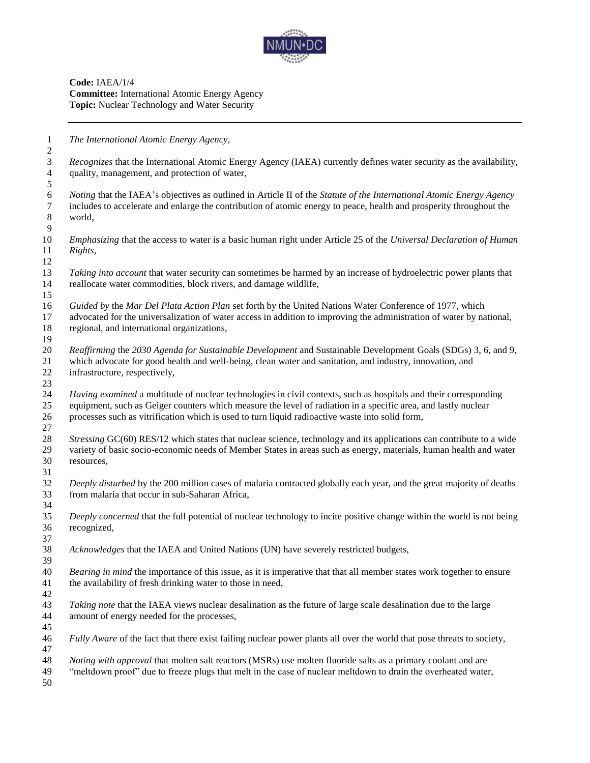

**Code:** IAEA/1/4 **Committee:** International Atomic Energy Agency **Topic:** Nuclear Technology and Water Security

*The International Atomic Energy Agency,*

 *Recognizes* that the International Atomic Energy Agency (IAEA) currently defines water security as the availability, quality, management, and protection of water, 

 *Noting* that the IAEA's objectives as outlined in Article II of the *Statute of the International Atomic Energy Agency* includes to accelerate and enlarge the contribution of atomic energy to peace, health and prosperity throughout the world, 

 *Emphasizing* that the access to water is a basic human right under Article 25 of the *Universal Declaration of Human Rights*,

 *Taking into account* that water security can sometimes be harmed by an increase of hydroelectric power plants that reallocate water commodities, block rivers, and damage wildlife,

 *Guided by* the *Mar Del Plata Action Plan* set forth by the United Nations Water Conference of 1977, which advocated for the universalization of water access in addition to improving the administration of water by national, regional, and international organizations,

 *Reaffirming* the *2030 Agenda for Sustainable Development* and Sustainable Development Goals (SDGs) 3, 6, and 9, which advocate for good health and well-being, clean water and sanitation, and industry, innovation, and infrastructure, respectively,

 *Having examined* a multitude of nuclear technologies in civil contexts, such as hospitals and their corresponding equipment, such as Geiger counters which measure the level of radiation in a specific area, and lastly nuclear processes such as vitrification which is used to turn liquid radioactive waste into solid form,

 *Stressing* GC(60) RES/12 which states that nuclear science, technology and its applications can contribute to a wide variety of basic socio-economic needs of Member States in areas such as energy, materials, human health and water resources,

 *Deeply disturbed* by the 200 million cases of malaria contracted globally each year, and the great majority of deaths from malaria that occur in sub-Saharan Africa,

 *Deeply concerned* that the full potential of nuclear technology to incite positive change within the world is not being recognized,

*Acknowledges* that the IAEA and United Nations (UN) have severely restricted budgets,

 *Bearing in mind* the importance of this issue, as it is imperative that that all member states work together to ensure the availability of fresh drinking water to those in need,

 *Taking note* that the IAEA views nuclear desalination as the future of large scale desalination due to the large amount of energy needed for the processes,

*Fully Aware* of the fact that there exist failing nuclear power plants all over the world that pose threats to society,

 *Noting with approval* that molten salt reactors (MSRs) use molten fluoride salts as a primary coolant and are

"meltdown proof" due to freeze plugs that melt in the case of nuclear meltdown to drain the overheated water,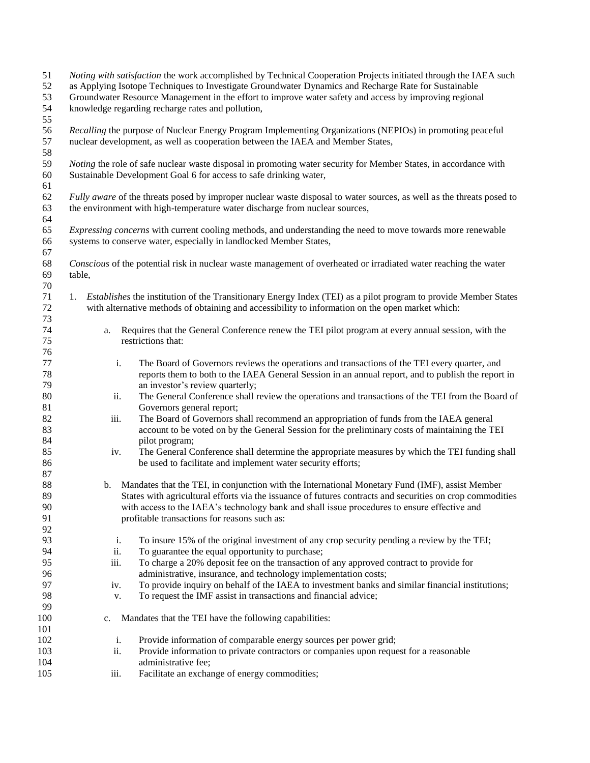| 51<br>52<br>53 | Noting with satisfaction the work accomplished by Technical Cooperation Projects initiated through the IAEA such<br>as Applying Isotope Techniques to Investigate Groundwater Dynamics and Recharge Rate for Sustainable<br>Groundwater Resource Management in the effort to improve water safety and access by improving regional |                                                                                                                                                                                                    |  |  |  |  |
|----------------|------------------------------------------------------------------------------------------------------------------------------------------------------------------------------------------------------------------------------------------------------------------------------------------------------------------------------------|----------------------------------------------------------------------------------------------------------------------------------------------------------------------------------------------------|--|--|--|--|
| 54             | knowledge regarding recharge rates and pollution,                                                                                                                                                                                                                                                                                  |                                                                                                                                                                                                    |  |  |  |  |
| 55<br>56<br>57 |                                                                                                                                                                                                                                                                                                                                    | Recalling the purpose of Nuclear Energy Program Implementing Organizations (NEPIOs) in promoting peaceful<br>nuclear development, as well as cooperation between the IAEA and Member States,       |  |  |  |  |
| 58<br>59       |                                                                                                                                                                                                                                                                                                                                    | <i>Noting</i> the role of safe nuclear waste disposal in promoting water security for Member States, in accordance with                                                                            |  |  |  |  |
| 60             |                                                                                                                                                                                                                                                                                                                                    | Sustainable Development Goal 6 for access to safe drinking water,                                                                                                                                  |  |  |  |  |
| 61             |                                                                                                                                                                                                                                                                                                                                    |                                                                                                                                                                                                    |  |  |  |  |
| 62             |                                                                                                                                                                                                                                                                                                                                    | Fully aware of the threats posed by improper nuclear waste disposal to water sources, as well as the threats posed to                                                                              |  |  |  |  |
| 63<br>64       |                                                                                                                                                                                                                                                                                                                                    | the environment with high-temperature water discharge from nuclear sources,                                                                                                                        |  |  |  |  |
| 65             |                                                                                                                                                                                                                                                                                                                                    | <i>Expressing concerns</i> with current cooling methods, and understanding the need to move towards more renewable                                                                                 |  |  |  |  |
| 66             |                                                                                                                                                                                                                                                                                                                                    | systems to conserve water, especially in landlocked Member States,                                                                                                                                 |  |  |  |  |
| 67             |                                                                                                                                                                                                                                                                                                                                    |                                                                                                                                                                                                    |  |  |  |  |
| 68<br>69       |                                                                                                                                                                                                                                                                                                                                    | Conscious of the potential risk in nuclear waste management of overheated or irradiated water reaching the water                                                                                   |  |  |  |  |
| 70             | table,                                                                                                                                                                                                                                                                                                                             |                                                                                                                                                                                                    |  |  |  |  |
| 71             |                                                                                                                                                                                                                                                                                                                                    | 1. <i>Establishes</i> the institution of the Transitionary Energy Index (TEI) as a pilot program to provide Member States                                                                          |  |  |  |  |
| 72             |                                                                                                                                                                                                                                                                                                                                    | with alternative methods of obtaining and accessibility to information on the open market which:                                                                                                   |  |  |  |  |
| 73             |                                                                                                                                                                                                                                                                                                                                    |                                                                                                                                                                                                    |  |  |  |  |
| 74             | a.                                                                                                                                                                                                                                                                                                                                 | Requires that the General Conference renew the TEI pilot program at every annual session, with the                                                                                                 |  |  |  |  |
| 75             |                                                                                                                                                                                                                                                                                                                                    | restrictions that:                                                                                                                                                                                 |  |  |  |  |
| 76             |                                                                                                                                                                                                                                                                                                                                    |                                                                                                                                                                                                    |  |  |  |  |
| 77<br>78       | i.                                                                                                                                                                                                                                                                                                                                 | The Board of Governors reviews the operations and transactions of the TEI every quarter, and<br>reports them to both to the IAEA General Session in an annual report, and to publish the report in |  |  |  |  |
| 79             |                                                                                                                                                                                                                                                                                                                                    | an investor's review quarterly;                                                                                                                                                                    |  |  |  |  |
| $80\,$         | ii.                                                                                                                                                                                                                                                                                                                                | The General Conference shall review the operations and transactions of the TEI from the Board of                                                                                                   |  |  |  |  |
| 81<br>82       | iii.                                                                                                                                                                                                                                                                                                                               | Governors general report;<br>The Board of Governors shall recommend an appropriation of funds from the IAEA general                                                                                |  |  |  |  |
| 83             |                                                                                                                                                                                                                                                                                                                                    | account to be voted on by the General Session for the preliminary costs of maintaining the TEI                                                                                                     |  |  |  |  |
| 84             |                                                                                                                                                                                                                                                                                                                                    | pilot program;                                                                                                                                                                                     |  |  |  |  |
| 85             | iv.                                                                                                                                                                                                                                                                                                                                | The General Conference shall determine the appropriate measures by which the TEI funding shall                                                                                                     |  |  |  |  |
| 86             |                                                                                                                                                                                                                                                                                                                                    | be used to facilitate and implement water security efforts;                                                                                                                                        |  |  |  |  |
| 87             |                                                                                                                                                                                                                                                                                                                                    |                                                                                                                                                                                                    |  |  |  |  |
| 88             | b.                                                                                                                                                                                                                                                                                                                                 | Mandates that the TEI, in conjunction with the International Monetary Fund (IMF), assist Member                                                                                                    |  |  |  |  |
| 89             |                                                                                                                                                                                                                                                                                                                                    | States with agricultural efforts via the issuance of futures contracts and securities on crop commodities                                                                                          |  |  |  |  |
| 90             |                                                                                                                                                                                                                                                                                                                                    | with access to the IAEA's technology bank and shall issue procedures to ensure effective and                                                                                                       |  |  |  |  |
| 91<br>92       |                                                                                                                                                                                                                                                                                                                                    | profitable transactions for reasons such as:                                                                                                                                                       |  |  |  |  |
| 93             | i.                                                                                                                                                                                                                                                                                                                                 | To insure 15% of the original investment of any crop security pending a review by the TEI;                                                                                                         |  |  |  |  |
| 94             | ii.                                                                                                                                                                                                                                                                                                                                | To guarantee the equal opportunity to purchase;                                                                                                                                                    |  |  |  |  |
| 95             | iii.                                                                                                                                                                                                                                                                                                                               | To charge a 20% deposit fee on the transaction of any approved contract to provide for                                                                                                             |  |  |  |  |
| 96             |                                                                                                                                                                                                                                                                                                                                    | administrative, insurance, and technology implementation costs;                                                                                                                                    |  |  |  |  |
| 97             | iv.                                                                                                                                                                                                                                                                                                                                | To provide inquiry on behalf of the IAEA to investment banks and similar financial institutions;                                                                                                   |  |  |  |  |
| 98             | v.                                                                                                                                                                                                                                                                                                                                 | To request the IMF assist in transactions and financial advice;                                                                                                                                    |  |  |  |  |
| 99             |                                                                                                                                                                                                                                                                                                                                    |                                                                                                                                                                                                    |  |  |  |  |
| 100            | $c_{\cdot}$                                                                                                                                                                                                                                                                                                                        | Mandates that the TEI have the following capabilities:                                                                                                                                             |  |  |  |  |
| 101            |                                                                                                                                                                                                                                                                                                                                    |                                                                                                                                                                                                    |  |  |  |  |
| 102<br>103     | i.<br>ii.                                                                                                                                                                                                                                                                                                                          | Provide information of comparable energy sources per power grid;<br>Provide information to private contractors or companies upon request for a reasonable                                          |  |  |  |  |
| 104            |                                                                                                                                                                                                                                                                                                                                    | administrative fee;                                                                                                                                                                                |  |  |  |  |
| 105            | iii.                                                                                                                                                                                                                                                                                                                               | Facilitate an exchange of energy commodities;                                                                                                                                                      |  |  |  |  |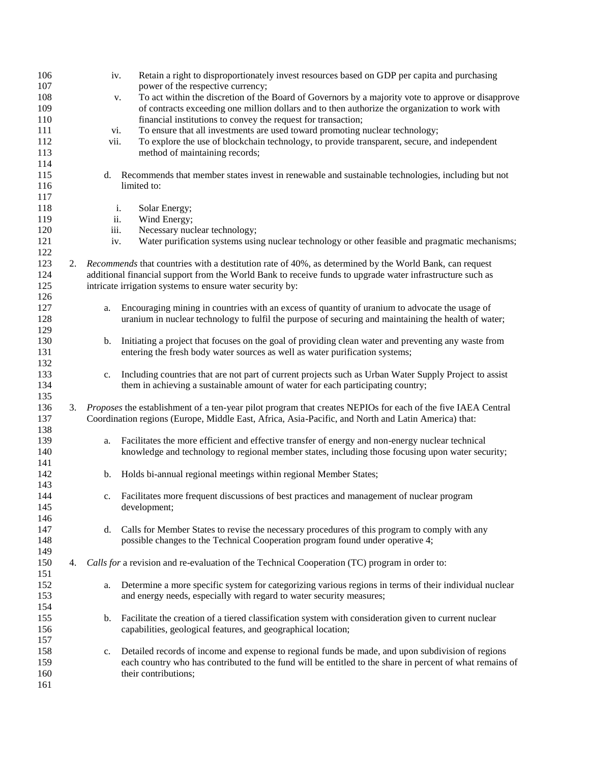| 106 |    | iv.  | Retain a right to disproportionately invest resources based on GDP per capita and purchasing                 |
|-----|----|------|--------------------------------------------------------------------------------------------------------------|
| 107 |    |      | power of the respective currency;                                                                            |
| 108 |    | v.   | To act within the discretion of the Board of Governors by a majority vote to approve or disapprove           |
| 109 |    |      | of contracts exceeding one million dollars and to then authorize the organization to work with               |
| 110 |    |      | financial institutions to convey the request for transaction;                                                |
| 111 |    | vi.  | To ensure that all investments are used toward promoting nuclear technology;                                 |
| 112 |    | vii. | To explore the use of blockchain technology, to provide transparent, secure, and independent                 |
| 113 |    |      | method of maintaining records;                                                                               |
| 114 |    |      |                                                                                                              |
| 115 |    | d.   | Recommends that member states invest in renewable and sustainable technologies, including but not            |
| 116 |    |      | limited to:                                                                                                  |
| 117 |    |      |                                                                                                              |
| 118 |    | i.   | Solar Energy;                                                                                                |
| 119 |    | ii.  | Wind Energy;                                                                                                 |
| 120 |    | iii. | Necessary nuclear technology;                                                                                |
| 121 |    | iv.  | Water purification systems using nuclear technology or other feasible and pragmatic mechanisms;              |
| 122 |    |      |                                                                                                              |
| 123 | 2. |      | Recommends that countries with a destitution rate of 40%, as determined by the World Bank, can request       |
| 124 |    |      | additional financial support from the World Bank to receive funds to upgrade water infrastructure such as    |
| 125 |    |      | intricate irrigation systems to ensure water security by:                                                    |
| 126 |    |      |                                                                                                              |
| 127 |    | a.   | Encouraging mining in countries with an excess of quantity of uranium to advocate the usage of               |
| 128 |    |      | uranium in nuclear technology to fulfil the purpose of securing and maintaining the health of water;         |
| 129 |    |      |                                                                                                              |
| 130 |    | b.   | Initiating a project that focuses on the goal of providing clean water and preventing any waste from         |
| 131 |    |      | entering the fresh body water sources as well as water purification systems;                                 |
| 132 |    |      |                                                                                                              |
| 133 |    | c.   | Including countries that are not part of current projects such as Urban Water Supply Project to assist       |
| 134 |    |      | them in achieving a sustainable amount of water for each participating country;                              |
| 135 |    |      |                                                                                                              |
| 136 | 3. |      | Proposes the establishment of a ten-year pilot program that creates NEPIOs for each of the five IAEA Central |
| 137 |    |      | Coordination regions (Europe, Middle East, Africa, Asia-Pacific, and North and Latin America) that:          |
| 138 |    |      |                                                                                                              |
| 139 |    | a.   | Facilitates the more efficient and effective transfer of energy and non-energy nuclear technical             |
| 140 |    |      | knowledge and technology to regional member states, including those focusing upon water security;            |
| 141 |    |      |                                                                                                              |
| 142 |    | b.   | Holds bi-annual regional meetings within regional Member States;                                             |
| 143 |    |      |                                                                                                              |
| 144 |    | c.   | Facilitates more frequent discussions of best practices and management of nuclear program                    |
| 145 |    |      | development;                                                                                                 |
| 146 |    |      |                                                                                                              |
| 147 |    | d.   | Calls for Member States to revise the necessary procedures of this program to comply with any                |
| 148 |    |      | possible changes to the Technical Cooperation program found under operative 4;                               |
| 149 |    |      |                                                                                                              |
| 150 | 4. |      | Calls for a revision and re-evaluation of the Technical Cooperation (TC) program in order to:                |
| 151 |    |      |                                                                                                              |
| 152 |    |      |                                                                                                              |
|     |    | a.   | Determine a more specific system for categorizing various regions in terms of their individual nuclear       |
| 153 |    |      | and energy needs, especially with regard to water security measures;                                         |
| 154 |    |      |                                                                                                              |
| 155 |    | b.   | Facilitate the creation of a tiered classification system with consideration given to current nuclear        |
| 156 |    |      | capabilities, geological features, and geographical location;                                                |
| 157 |    |      |                                                                                                              |
| 158 |    | c.   | Detailed records of income and expense to regional funds be made, and upon subdivision of regions            |
| 159 |    |      | each country who has contributed to the fund will be entitled to the share in percent of what remains of     |
| 160 |    |      | their contributions;                                                                                         |
| 161 |    |      |                                                                                                              |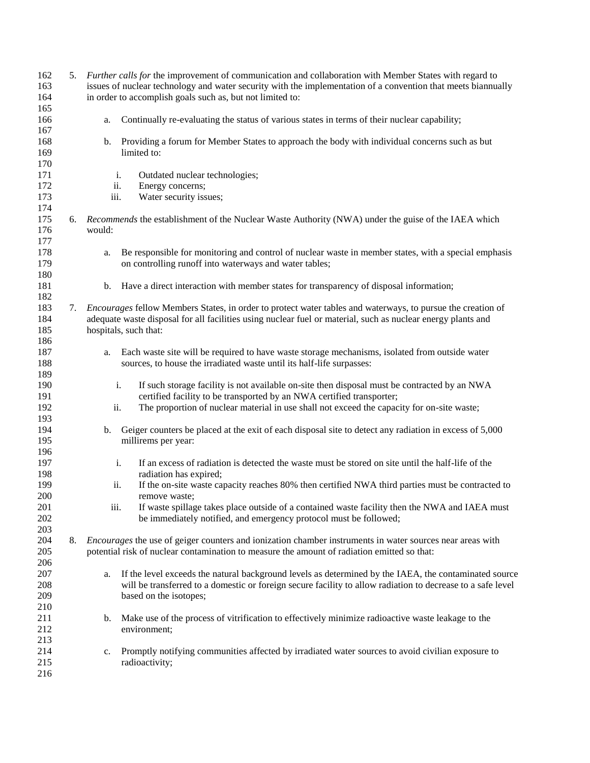| 162 |    | 5. Further calls for the improvement of communication and collaboration with Member States with regard to          |
|-----|----|--------------------------------------------------------------------------------------------------------------------|
| 163 |    | issues of nuclear technology and water security with the implementation of a convention that meets biannually      |
| 164 |    | in order to accomplish goals such as, but not limited to:                                                          |
| 165 |    |                                                                                                                    |
| 166 |    | Continually re-evaluating the status of various states in terms of their nuclear capability;<br>a.                 |
| 167 |    |                                                                                                                    |
|     |    | Providing a forum for Member States to approach the body with individual concerns such as but                      |
| 168 |    | b.                                                                                                                 |
| 169 |    | limited to:                                                                                                        |
| 170 |    |                                                                                                                    |
| 171 |    | Outdated nuclear technologies;<br>i.                                                                               |
| 172 |    | ii.<br>Energy concerns;                                                                                            |
| 173 |    | iii.<br>Water security issues;                                                                                     |
| 174 |    |                                                                                                                    |
| 175 | 6. | <i>Recommends</i> the establishment of the Nuclear Waste Authority (NWA) under the guise of the IAEA which         |
| 176 |    | would:                                                                                                             |
| 177 |    |                                                                                                                    |
| 178 |    | Be responsible for monitoring and control of nuclear waste in member states, with a special emphasis               |
|     |    | a.                                                                                                                 |
| 179 |    | on controlling runoff into waterways and water tables;                                                             |
| 180 |    |                                                                                                                    |
| 181 |    | Have a direct interaction with member states for transparency of disposal information;<br>b.                       |
| 182 |    |                                                                                                                    |
| 183 | 7. | <i>Encourages</i> fellow Members States, in order to protect water tables and waterways, to pursue the creation of |
| 184 |    | adequate waste disposal for all facilities using nuclear fuel or material, such as nuclear energy plants and       |
| 185 |    | hospitals, such that:                                                                                              |
| 186 |    |                                                                                                                    |
| 187 |    | Each waste site will be required to have waste storage mechanisms, isolated from outside water<br>a.               |
| 188 |    | sources, to house the irradiated waste until its half-life surpasses:                                              |
|     |    |                                                                                                                    |
| 189 |    |                                                                                                                    |
| 190 |    | If such storage facility is not available on-site then disposal must be contracted by an NWA<br>i.                 |
| 191 |    | certified facility to be transported by an NWA certified transporter;                                              |
| 192 |    | The proportion of nuclear material in use shall not exceed the capacity for on-site waste;<br>ii.                  |
| 193 |    |                                                                                                                    |
| 194 |    | b. Geiger counters be placed at the exit of each disposal site to detect any radiation in excess of 5,000          |
| 195 |    | millirems per year:                                                                                                |
| 196 |    |                                                                                                                    |
| 197 |    | i.<br>If an excess of radiation is detected the waste must be stored on site until the half-life of the            |
| 198 |    | radiation has expired;                                                                                             |
|     |    |                                                                                                                    |
| 199 |    | ii.<br>If the on-site waste capacity reaches 80% then certified NWA third parties must be contracted to            |
| 200 |    | remove waste;                                                                                                      |
| 201 |    | If waste spillage takes place outside of a contained waste facility then the NWA and IAEA must<br>iii.             |
| 202 |    | be immediately notified, and emergency protocol must be followed;                                                  |
| 203 |    |                                                                                                                    |
| 204 | 8. | <i>Encourages</i> the use of geiger counters and ionization chamber instruments in water sources near areas with   |
| 205 |    | potential risk of nuclear contamination to measure the amount of radiation emitted so that:                        |
| 206 |    |                                                                                                                    |
| 207 |    | If the level exceeds the natural background levels as determined by the IAEA, the contaminated source<br>a.        |
| 208 |    | will be transferred to a domestic or foreign secure facility to allow radiation to decrease to a safe level        |
|     |    |                                                                                                                    |
| 209 |    | based on the isotopes;                                                                                             |
| 210 |    |                                                                                                                    |
| 211 |    | Make use of the process of vitrification to effectively minimize radioactive waste leakage to the<br>b.            |
| 212 |    | environment;                                                                                                       |
| 213 |    |                                                                                                                    |
| 214 |    | Promptly notifying communities affected by irradiated water sources to avoid civilian exposure to<br>c.            |
| 215 |    | radioactivity;                                                                                                     |
| 216 |    |                                                                                                                    |
|     |    |                                                                                                                    |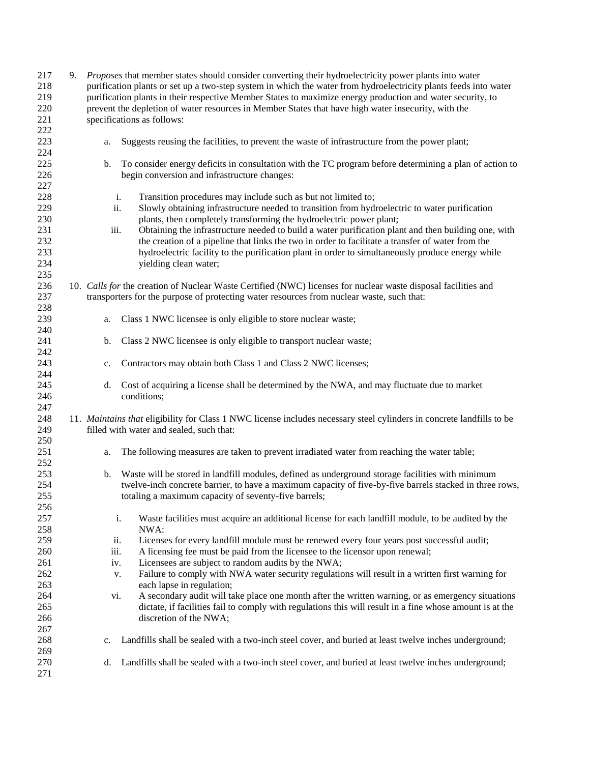| 217 | 9. | Proposes that member states should consider converting their hydroelectricity power plants into water                 |
|-----|----|-----------------------------------------------------------------------------------------------------------------------|
| 218 |    | purification plants or set up a two-step system in which the water from hydroelectricity plants feeds into water      |
| 219 |    | purification plants in their respective Member States to maximize energy production and water security, to            |
|     |    |                                                                                                                       |
| 220 |    | prevent the depletion of water resources in Member States that have high water insecurity, with the                   |
| 221 |    | specifications as follows:                                                                                            |
| 222 |    |                                                                                                                       |
| 223 |    | Suggests reusing the facilities, to prevent the waste of infrastructure from the power plant;<br>a.                   |
| 224 |    |                                                                                                                       |
| 225 |    | To consider energy deficits in consultation with the TC program before determining a plan of action to<br>b.          |
|     |    |                                                                                                                       |
| 226 |    | begin conversion and infrastructure changes:                                                                          |
| 227 |    |                                                                                                                       |
| 228 |    | Transition procedures may include such as but not limited to;<br>i.                                                   |
| 229 |    | ii.<br>Slowly obtaining infrastructure needed to transition from hydroelectric to water purification                  |
| 230 |    | plants, then completely transforming the hydroelectric power plant;                                                   |
| 231 |    | Obtaining the infrastructure needed to build a water purification plant and then building one, with<br>iii.           |
| 232 |    | the creation of a pipeline that links the two in order to facilitate a transfer of water from the                     |
|     |    |                                                                                                                       |
| 233 |    | hydroelectric facility to the purification plant in order to simultaneously produce energy while                      |
| 234 |    | yielding clean water;                                                                                                 |
| 235 |    |                                                                                                                       |
| 236 |    | 10. Calls for the creation of Nuclear Waste Certified (NWC) licenses for nuclear waste disposal facilities and        |
| 237 |    | transporters for the purpose of protecting water resources from nuclear waste, such that:                             |
| 238 |    |                                                                                                                       |
|     |    |                                                                                                                       |
| 239 |    | Class 1 NWC licensee is only eligible to store nuclear waste;<br>a.                                                   |
| 240 |    |                                                                                                                       |
| 241 |    | Class 2 NWC licensee is only eligible to transport nuclear waste;<br>b.                                               |
| 242 |    |                                                                                                                       |
| 243 |    | Contractors may obtain both Class 1 and Class 2 NWC licenses;<br>c.                                                   |
| 244 |    |                                                                                                                       |
| 245 |    | Cost of acquiring a license shall be determined by the NWA, and may fluctuate due to market<br>d.                     |
|     |    |                                                                                                                       |
| 246 |    | conditions;                                                                                                           |
| 247 |    |                                                                                                                       |
| 248 |    | 11. Maintains that eligibility for Class 1 NWC license includes necessary steel cylinders in concrete landfills to be |
| 249 |    | filled with water and sealed, such that:                                                                              |
| 250 |    |                                                                                                                       |
| 251 |    | The following measures are taken to prevent irradiated water from reaching the water table;<br>a.                     |
| 252 |    |                                                                                                                       |
|     |    |                                                                                                                       |
| 253 |    | Waste will be stored in landfill modules, defined as underground storage facilities with minimum<br>b.                |
| 254 |    | twelve-inch concrete barrier, to have a maximum capacity of five-by-five barrels stacked in three rows,               |
| 255 |    | totaling a maximum capacity of seventy-five barrels;                                                                  |
| 256 |    |                                                                                                                       |
| 257 |    | Waste facilities must acquire an additional license for each landfill module, to be audited by the<br>i.              |
| 258 |    | NWA:                                                                                                                  |
|     |    |                                                                                                                       |
| 259 |    | Licenses for every landfill module must be renewed every four years post successful audit;<br>ii.                     |
| 260 |    | A licensing fee must be paid from the licensee to the licensor upon renewal;<br>iii.                                  |
| 261 |    | Licensees are subject to random audits by the NWA;<br>iv.                                                             |
| 262 |    | Failure to comply with NWA water security regulations will result in a written first warning for<br>v.                |
| 263 |    | each lapse in regulation;                                                                                             |
| 264 |    | A secondary audit will take place one month after the written warning, or as emergency situations<br>vi.              |
| 265 |    | dictate, if facilities fail to comply with regulations this will result in a fine whose amount is at the              |
|     |    |                                                                                                                       |
| 266 |    | discretion of the NWA;                                                                                                |
| 267 |    |                                                                                                                       |
| 268 |    | Landfills shall be sealed with a two-inch steel cover, and buried at least twelve inches underground;<br>$c_{\cdot}$  |
| 269 |    |                                                                                                                       |
| 270 |    | Landfills shall be sealed with a two-inch steel cover, and buried at least twelve inches underground;<br>d.           |
| 271 |    |                                                                                                                       |
|     |    |                                                                                                                       |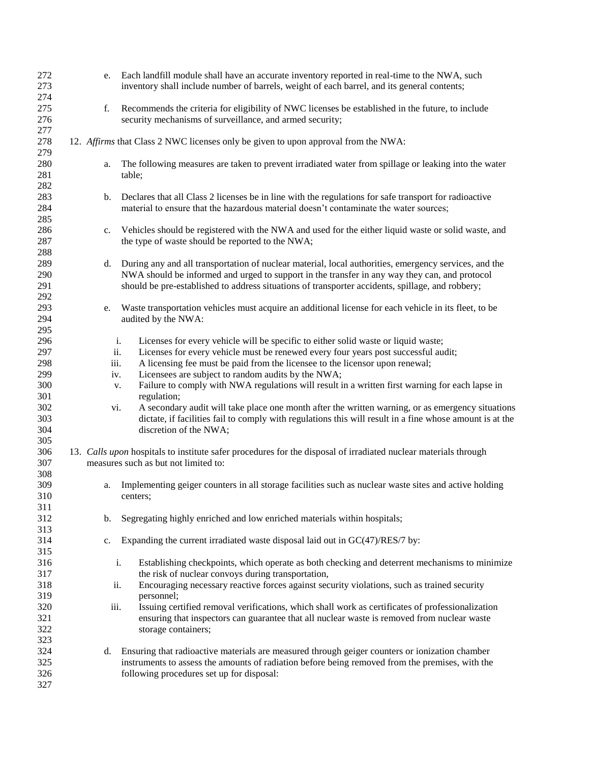| 272<br>273<br>274        |                   | e. Each landfill module shall have an accurate inventory reported in real-time to the NWA, such<br>inventory shall include number of barrels, weight of each barrel, and its general contents;                                                                                                             |
|--------------------------|-------------------|------------------------------------------------------------------------------------------------------------------------------------------------------------------------------------------------------------------------------------------------------------------------------------------------------------|
| 275<br>276               | f.                | Recommends the criteria for eligibility of NWC licenses be established in the future, to include<br>security mechanisms of surveillance, and armed security;                                                                                                                                               |
| 277<br>278<br>279        |                   | 12. Affirms that Class 2 NWC licenses only be given to upon approval from the NWA:                                                                                                                                                                                                                         |
| 280<br>281               | a.<br>table;      | The following measures are taken to prevent irradiated water from spillage or leaking into the water                                                                                                                                                                                                       |
| 282<br>283<br>284        | b.                | Declares that all Class 2 licenses be in line with the regulations for safe transport for radioactive<br>material to ensure that the hazardous material doesn't contaminate the water sources;                                                                                                             |
| 285<br>286<br>287        | c.                | Vehicles should be registered with the NWA and used for the either liquid waste or solid waste, and<br>the type of waste should be reported to the NWA;                                                                                                                                                    |
| 288<br>289<br>290<br>291 | d.                | During any and all transportation of nuclear material, local authorities, emergency services, and the<br>NWA should be informed and urged to support in the transfer in any way they can, and protocol<br>should be pre-established to address situations of transporter accidents, spillage, and robbery; |
| 292<br>293<br>294<br>295 | e.                | Waste transportation vehicles must acquire an additional license for each vehicle in its fleet, to be<br>audited by the NWA:                                                                                                                                                                               |
| 296<br>297               | i.<br>ii.         | Licenses for every vehicle will be specific to either solid waste or liquid waste;<br>Licenses for every vehicle must be renewed every four years post successful audit;                                                                                                                                   |
| 298<br>299<br>300        | iii.<br>iv.<br>v. | A licensing fee must be paid from the licensee to the licensor upon renewal;<br>Licensees are subject to random audits by the NWA;<br>Failure to comply with NWA regulations will result in a written first warning for each lapse in                                                                      |
| 301<br>302<br>303<br>304 | vi.               | regulation;<br>A secondary audit will take place one month after the written warning, or as emergency situations<br>dictate, if facilities fail to comply with regulations this will result in a fine whose amount is at the<br>discretion of the NWA;                                                     |
| 305<br>306<br>307        |                   | 13. Calls upon hospitals to institute safer procedures for the disposal of irradiated nuclear materials through<br>measures such as but not limited to:                                                                                                                                                    |
| 308<br>309<br>310<br>311 | a.<br>centers:    | Implementing geiger counters in all storage facilities such as nuclear waste sites and active holding                                                                                                                                                                                                      |
| 312<br>313               | b.                | Segregating highly enriched and low enriched materials within hospitals;                                                                                                                                                                                                                                   |
| 314<br>315               | c.                | Expanding the current irradiated waste disposal laid out in $GC(47)/RES/7$ by:                                                                                                                                                                                                                             |
| 316<br>317<br>318        | i.<br>ii.         | Establishing checkpoints, which operate as both checking and deterrent mechanisms to minimize<br>the risk of nuclear convoys during transportation,<br>Encouraging necessary reactive forces against security violations, such as trained security                                                         |
| 319<br>320               | iii.              | personnel;<br>Issuing certified removal verifications, which shall work as certificates of professionalization                                                                                                                                                                                             |
| 321<br>322<br>323        |                   | ensuring that inspectors can guarantee that all nuclear waste is removed from nuclear waste<br>storage containers;                                                                                                                                                                                         |
| 324<br>325<br>326<br>327 | d.                | Ensuring that radioactive materials are measured through geiger counters or ionization chamber<br>instruments to assess the amounts of radiation before being removed from the premises, with the<br>following procedures set up for disposal:                                                             |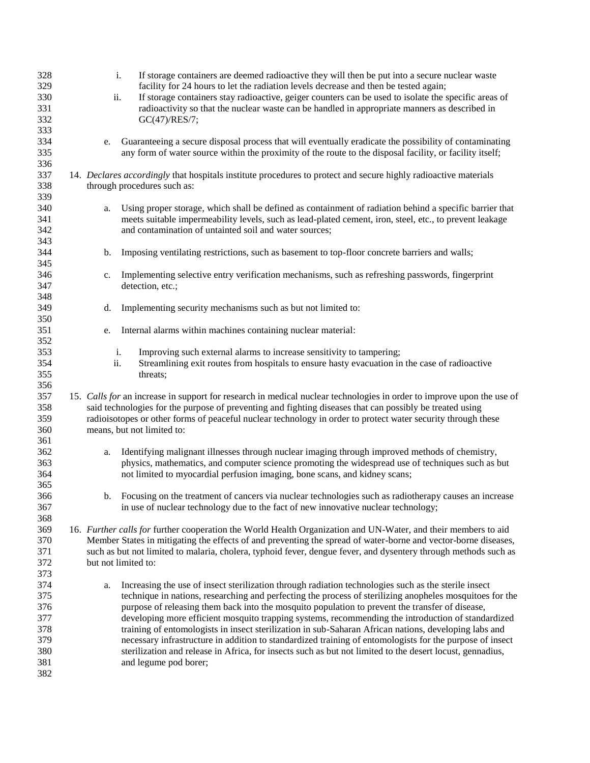| 328<br>329        | i.  | If storage containers are deemed radioactive they will then be put into a secure nuclear waste<br>facility for 24 hours to let the radiation levels decrease and then be tested again;                                 |
|-------------------|-----|------------------------------------------------------------------------------------------------------------------------------------------------------------------------------------------------------------------------|
| 330<br>331<br>332 | ii. | If storage containers stay radioactive, geiger counters can be used to isolate the specific areas of<br>radioactivity so that the nuclear waste can be handled in appropriate manners as described in<br>GC(47)/RES/7; |
| 333<br>334        | e.  | Guaranteeing a secure disposal process that will eventually eradicate the possibility of contaminating                                                                                                                 |
| 335<br>336        |     | any form of water source within the proximity of the route to the disposal facility, or facility itself;                                                                                                               |
| 337               |     | 14. Declares accordingly that hospitals institute procedures to protect and secure highly radioactive materials                                                                                                        |
| 338<br>339        |     | through procedures such as:                                                                                                                                                                                            |
| 340               | a.  | Using proper storage, which shall be defined as containment of radiation behind a specific barrier that                                                                                                                |
| 341               |     | meets suitable impermeability levels, such as lead-plated cement, iron, steel, etc., to prevent leakage                                                                                                                |
| 342               |     | and contamination of untainted soil and water sources;                                                                                                                                                                 |
| 343<br>344        | b.  | Imposing ventilating restrictions, such as basement to top-floor concrete barriers and walls;                                                                                                                          |
| 345               |     |                                                                                                                                                                                                                        |
| 346               | c.  | Implementing selective entry verification mechanisms, such as refreshing passwords, fingerprint                                                                                                                        |
| 347               |     | detection, etc.;                                                                                                                                                                                                       |
| 348               |     |                                                                                                                                                                                                                        |
| 349<br>350        | d.  | Implementing security mechanisms such as but not limited to:                                                                                                                                                           |
| 351               | e.  | Internal alarms within machines containing nuclear material:                                                                                                                                                           |
| 352               |     |                                                                                                                                                                                                                        |
| 353               | i.  | Improving such external alarms to increase sensitivity to tampering;                                                                                                                                                   |
| 354               | ii. | Streamlining exit routes from hospitals to ensure hasty evacuation in the case of radioactive                                                                                                                          |
| 355               |     | threats;                                                                                                                                                                                                               |
| 356               |     |                                                                                                                                                                                                                        |
| 357               |     | 15. Calls for an increase in support for research in medical nuclear technologies in order to improve upon the use of                                                                                                  |
| 358               |     | said technologies for the purpose of preventing and fighting diseases that can possibly be treated using                                                                                                               |
| 359<br>360        |     | radioisotopes or other forms of peaceful nuclear technology in order to protect water security through these<br>means, but not limited to:                                                                             |
| 361               |     |                                                                                                                                                                                                                        |
| 362               | a.  | Identifying malignant illnesses through nuclear imaging through improved methods of chemistry,                                                                                                                         |
| 363               |     | physics, mathematics, and computer science promoting the widespread use of techniques such as but                                                                                                                      |
| 364               |     | not limited to myocardial perfusion imaging, bone scans, and kidney scans;                                                                                                                                             |
| 365               |     |                                                                                                                                                                                                                        |
| 366               |     | b. Focusing on the treatment of cancers via nuclear technologies such as radiotherapy causes an increase                                                                                                               |
| 367               |     | in use of nuclear technology due to the fact of new innovative nuclear technology;                                                                                                                                     |
| 368               |     |                                                                                                                                                                                                                        |
| 369               |     | 16. Further calls for further cooperation the World Health Organization and UN-Water, and their members to aid                                                                                                         |
| 370               |     | Member States in mitigating the effects of and preventing the spread of water-borne and vector-borne diseases,                                                                                                         |
| 371               |     | such as but not limited to malaria, cholera, typhoid fever, dengue fever, and dysentery through methods such as                                                                                                        |
| 372               |     | but not limited to:                                                                                                                                                                                                    |
| 373               |     |                                                                                                                                                                                                                        |
| 374               | a.  | Increasing the use of insect sterilization through radiation technologies such as the sterile insect                                                                                                                   |
| 375               |     | technique in nations, researching and perfecting the process of sterilizing anopheles mosquitoes for the                                                                                                               |
| 376<br>377        |     | purpose of releasing them back into the mosquito population to prevent the transfer of disease,<br>developing more efficient mosquito trapping systems, recommending the introduction of standardized                  |
| 378               |     | training of entomologists in insect sterilization in sub-Saharan African nations, developing labs and                                                                                                                  |
| 379               |     | necessary infrastructure in addition to standardized training of entomologists for the purpose of insect                                                                                                               |
| 380               |     | sterilization and release in Africa, for insects such as but not limited to the desert locust, gennadius,                                                                                                              |
| 381               |     | and legume pod borer;                                                                                                                                                                                                  |
| 382               |     |                                                                                                                                                                                                                        |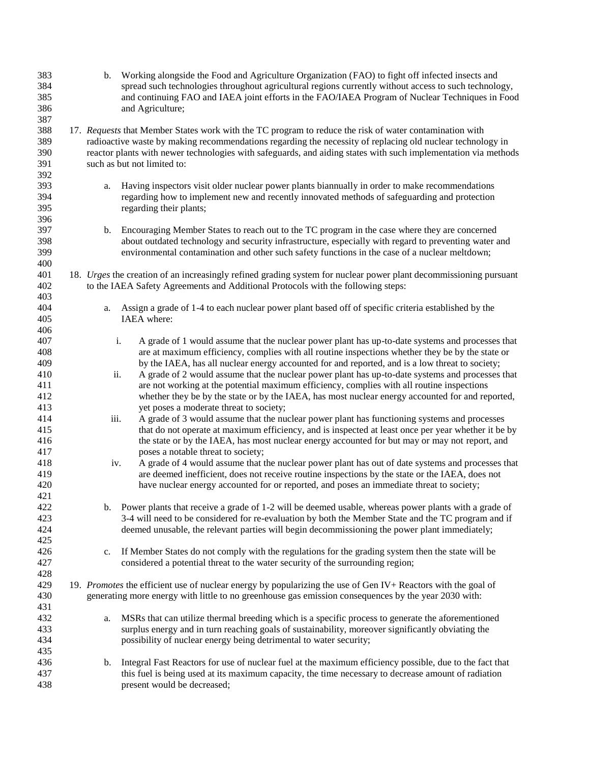| 383 | b.   | Working alongside the Food and Agriculture Organization (FAO) to fight off infected insects and                   |
|-----|------|-------------------------------------------------------------------------------------------------------------------|
| 384 |      | spread such technologies throughout agricultural regions currently without access to such technology,             |
| 385 |      | and continuing FAO and IAEA joint efforts in the FAO/IAEA Program of Nuclear Techniques in Food                   |
| 386 |      | and Agriculture;                                                                                                  |
|     |      |                                                                                                                   |
| 387 |      |                                                                                                                   |
| 388 |      | 17. Requests that Member States work with the TC program to reduce the risk of water contamination with           |
| 389 |      | radioactive waste by making recommendations regarding the necessity of replacing old nuclear technology in        |
| 390 |      | reactor plants with newer technologies with safeguards, and aiding states with such implementation via methods    |
| 391 |      | such as but not limited to:                                                                                       |
| 392 |      |                                                                                                                   |
| 393 |      | Having inspectors visit older nuclear power plants biannually in order to make recommendations                    |
|     | a.   |                                                                                                                   |
| 394 |      | regarding how to implement new and recently innovated methods of safeguarding and protection                      |
| 395 |      | regarding their plants;                                                                                           |
| 396 |      |                                                                                                                   |
| 397 | b.   | Encouraging Member States to reach out to the TC program in the case where they are concerned                     |
| 398 |      | about outdated technology and security infrastructure, especially with regard to preventing water and             |
| 399 |      | environmental contamination and other such safety functions in the case of a nuclear meltdown;                    |
| 400 |      |                                                                                                                   |
|     |      |                                                                                                                   |
| 401 |      | 18. Urges the creation of an increasingly refined grading system for nuclear power plant decommissioning pursuant |
| 402 |      | to the IAEA Safety Agreements and Additional Protocols with the following steps:                                  |
| 403 |      |                                                                                                                   |
| 404 | a.   | Assign a grade of 1-4 to each nuclear power plant based off of specific criteria established by the               |
| 405 |      | IAEA where:                                                                                                       |
| 406 |      |                                                                                                                   |
| 407 |      | i.<br>A grade of 1 would assume that the nuclear power plant has up-to-date systems and processes that            |
| 408 |      | are at maximum efficiency, complies with all routine inspections whether they be by the state or                  |
|     |      |                                                                                                                   |
| 409 |      | by the IAEA, has all nuclear energy accounted for and reported, and is a low threat to society;                   |
| 410 | ii.  | A grade of 2 would assume that the nuclear power plant has up-to-date systems and processes that                  |
| 411 |      | are not working at the potential maximum efficiency, complies with all routine inspections                        |
| 412 |      | whether they be by the state or by the IAEA, has most nuclear energy accounted for and reported,                  |
| 413 |      | yet poses a moderate threat to society;                                                                           |
| 414 | iii. | A grade of 3 would assume that the nuclear power plant has functioning systems and processes                      |
| 415 |      | that do not operate at maximum efficiency, and is inspected at least once per year whether it be by               |
| 416 |      | the state or by the IAEA, has most nuclear energy accounted for but may or may not report, and                    |
|     |      |                                                                                                                   |
| 417 |      | poses a notable threat to society;                                                                                |
| 418 | iv.  | A grade of 4 would assume that the nuclear power plant has out of date systems and processes that                 |
| 419 |      | are deemed inefficient, does not receive routine inspections by the state or the IAEA, does not                   |
| 420 |      | have nuclear energy accounted for or reported, and poses an immediate threat to society;                          |
| 421 |      |                                                                                                                   |
| 422 |      | b. Power plants that receive a grade of 1-2 will be deemed usable, whereas power plants with a grade of           |
| 423 |      | 3-4 will need to be considered for re-evaluation by both the Member State and the TC program and if               |
| 424 |      |                                                                                                                   |
|     |      | deemed unusable, the relevant parties will begin decommissioning the power plant immediately;                     |
| 425 |      |                                                                                                                   |
| 426 |      | c. If Member States do not comply with the regulations for the grading system then the state will be              |
| 427 |      | considered a potential threat to the water security of the surrounding region;                                    |
| 428 |      |                                                                                                                   |
| 429 |      | 19. Promotes the efficient use of nuclear energy by popularizing the use of Gen IV+ Reactors with the goal of     |
| 430 |      | generating more energy with little to no greenhouse gas emission consequences by the year 2030 with:              |
| 431 |      |                                                                                                                   |
|     |      |                                                                                                                   |
| 432 | a.   | MSRs that can utilize thermal breeding which is a specific process to generate the aforementioned                 |
| 433 |      | surplus energy and in turn reaching goals of sustainability, moreover significantly obviating the                 |
| 434 |      | possibility of nuclear energy being detrimental to water security;                                                |
| 435 |      |                                                                                                                   |
| 436 | b.   | Integral Fast Reactors for use of nuclear fuel at the maximum efficiency possible, due to the fact that           |
| 437 |      | this fuel is being used at its maximum capacity, the time necessary to decrease amount of radiation               |
| 438 |      | present would be decreased;                                                                                       |
|     |      |                                                                                                                   |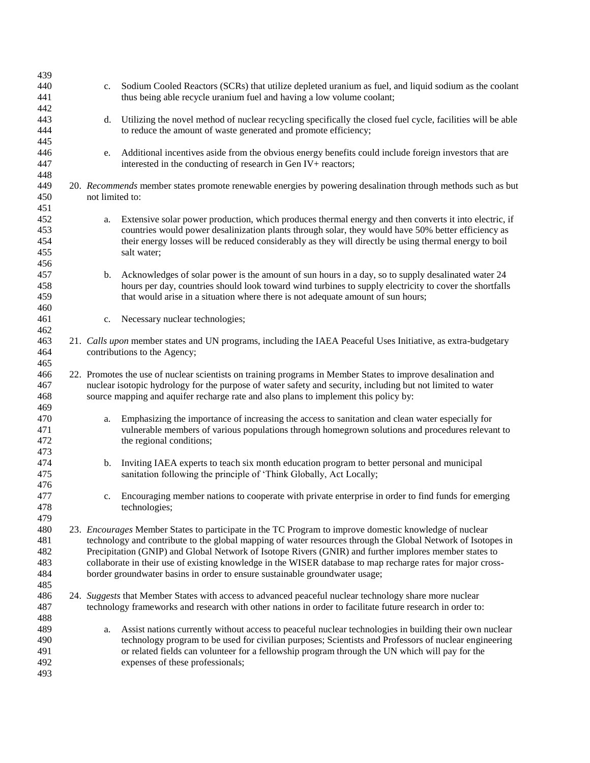| 439        |                                                                                                              |                                                                                                               |  |  |
|------------|--------------------------------------------------------------------------------------------------------------|---------------------------------------------------------------------------------------------------------------|--|--|
| 440        | c.                                                                                                           | Sodium Cooled Reactors (SCRs) that utilize depleted uranium as fuel, and liquid sodium as the coolant         |  |  |
| 441        |                                                                                                              | thus being able recycle uranium fuel and having a low volume coolant;                                         |  |  |
| 442        |                                                                                                              |                                                                                                               |  |  |
| 443        | d.                                                                                                           | Utilizing the novel method of nuclear recycling specifically the closed fuel cycle, facilities will be able   |  |  |
| 444        |                                                                                                              | to reduce the amount of waste generated and promote efficiency;                                               |  |  |
| 445        |                                                                                                              |                                                                                                               |  |  |
| 446        | e.                                                                                                           | Additional incentives aside from the obvious energy benefits could include foreign investors that are         |  |  |
| 447        |                                                                                                              | interested in the conducting of research in Gen IV+ reactors;                                                 |  |  |
| 448        |                                                                                                              |                                                                                                               |  |  |
| 449        | 20. Recommends member states promote renewable energies by powering desalination through methods such as but |                                                                                                               |  |  |
| 450        | not limited to:                                                                                              |                                                                                                               |  |  |
| 451<br>452 |                                                                                                              | Extensive solar power production, which produces thermal energy and then converts it into electric, if        |  |  |
| 453        | a.                                                                                                           | countries would power desalinization plants through solar, they would have 50% better efficiency as           |  |  |
| 454        |                                                                                                              | their energy losses will be reduced considerably as they will directly be using thermal energy to boil        |  |  |
| 455        |                                                                                                              | salt water;                                                                                                   |  |  |
| 456        |                                                                                                              |                                                                                                               |  |  |
| 457        | b.                                                                                                           | Acknowledges of solar power is the amount of sun hours in a day, so to supply desalinated water 24            |  |  |
| 458        |                                                                                                              | hours per day, countries should look toward wind turbines to supply electricity to cover the shortfalls       |  |  |
| 459        |                                                                                                              | that would arise in a situation where there is not adequate amount of sun hours;                              |  |  |
| 460        |                                                                                                              |                                                                                                               |  |  |
| 461        | c.                                                                                                           | Necessary nuclear technologies;                                                                               |  |  |
| 462        |                                                                                                              |                                                                                                               |  |  |
| 463        |                                                                                                              | 21. Calls upon member states and UN programs, including the IAEA Peaceful Uses Initiative, as extra-budgetary |  |  |
| 464        |                                                                                                              | contributions to the Agency;                                                                                  |  |  |
| 465        |                                                                                                              |                                                                                                               |  |  |
| 466        | 22. Promotes the use of nuclear scientists on training programs in Member States to improve desalination and |                                                                                                               |  |  |
| 467        | nuclear isotopic hydrology for the purpose of water safety and security, including but not limited to water  |                                                                                                               |  |  |
| 468        |                                                                                                              | source mapping and aquifer recharge rate and also plans to implement this policy by:                          |  |  |
| 469<br>470 |                                                                                                              | Emphasizing the importance of increasing the access to sanitation and clean water especially for              |  |  |
| 471        | a.                                                                                                           | vulnerable members of various populations through homegrown solutions and procedures relevant to              |  |  |
| 472        |                                                                                                              | the regional conditions;                                                                                      |  |  |
| 473        |                                                                                                              |                                                                                                               |  |  |
| 474        | b.                                                                                                           | Inviting IAEA experts to teach six month education program to better personal and municipal                   |  |  |
| 475        |                                                                                                              | sanitation following the principle of 'Think Globally, Act Locally;                                           |  |  |
| 476        |                                                                                                              |                                                                                                               |  |  |
| 477        | c.                                                                                                           | Encouraging member nations to cooperate with private enterprise in order to find funds for emerging           |  |  |
| 478        |                                                                                                              | technologies;                                                                                                 |  |  |
| 479        |                                                                                                              |                                                                                                               |  |  |
| 480        |                                                                                                              | 23. Encourages Member States to participate in the TC Program to improve domestic knowledge of nuclear        |  |  |
| 481        |                                                                                                              | technology and contribute to the global mapping of water resources through the Global Network of Isotopes in  |  |  |
| 482        |                                                                                                              | Precipitation (GNIP) and Global Network of Isotope Rivers (GNIR) and further implores member states to        |  |  |
| 483        |                                                                                                              | collaborate in their use of existing knowledge in the WISER database to map recharge rates for major cross-   |  |  |
| 484<br>485 |                                                                                                              | border groundwater basins in order to ensure sustainable groundwater usage;                                   |  |  |
| 486        |                                                                                                              | 24. Suggests that Member States with access to advanced peaceful nuclear technology share more nuclear        |  |  |
| 487        |                                                                                                              | technology frameworks and research with other nations in order to facilitate future research in order to:     |  |  |
| 488        |                                                                                                              |                                                                                                               |  |  |
| 489        | a.                                                                                                           | Assist nations currently without access to peaceful nuclear technologies in building their own nuclear        |  |  |
| 490        |                                                                                                              | technology program to be used for civilian purposes; Scientists and Professors of nuclear engineering         |  |  |
| 491        |                                                                                                              | or related fields can volunteer for a fellowship program through the UN which will pay for the                |  |  |
| 492        |                                                                                                              | expenses of these professionals;                                                                              |  |  |
| 493        |                                                                                                              |                                                                                                               |  |  |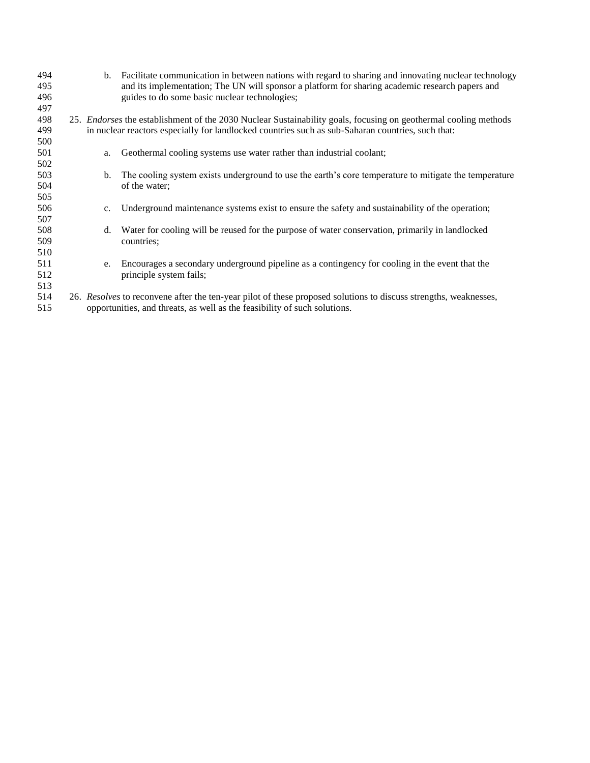| 494 |                                                                           | Facilitate communication in between nations with regard to sharing and innovating nuclear technology<br>b.              |  |  |
|-----|---------------------------------------------------------------------------|-------------------------------------------------------------------------------------------------------------------------|--|--|
| 495 |                                                                           | and its implementation; The UN will sponsor a platform for sharing academic research papers and                         |  |  |
| 496 |                                                                           | guides to do some basic nuclear technologies;                                                                           |  |  |
| 497 |                                                                           |                                                                                                                         |  |  |
| 498 |                                                                           | 25. Endorses the establishment of the 2030 Nuclear Sustainability goals, focusing on geothermal cooling methods         |  |  |
| 499 |                                                                           | in nuclear reactors especially for landlocked countries such as sub-Saharan countries, such that:                       |  |  |
| 500 |                                                                           |                                                                                                                         |  |  |
| 501 |                                                                           | Geothermal cooling systems use water rather than industrial coolant;<br>a.                                              |  |  |
| 502 |                                                                           |                                                                                                                         |  |  |
| 503 |                                                                           | The cooling system exists underground to use the earth's core temperature to mitigate the temperature<br>$\mathbf{b}$ . |  |  |
| 504 |                                                                           | of the water;                                                                                                           |  |  |
| 505 |                                                                           |                                                                                                                         |  |  |
| 506 |                                                                           | Underground maintenance systems exist to ensure the safety and sustainability of the operation;<br>c.                   |  |  |
| 507 |                                                                           |                                                                                                                         |  |  |
| 508 |                                                                           | Water for cooling will be reused for the purpose of water conservation, primarily in landlocked<br>d.                   |  |  |
| 509 |                                                                           | countries;                                                                                                              |  |  |
| 510 |                                                                           |                                                                                                                         |  |  |
| 511 |                                                                           | Encourages a secondary underground pipeline as a contingency for cooling in the event that the<br>e.                    |  |  |
| 512 |                                                                           | principle system fails;                                                                                                 |  |  |
| 513 |                                                                           |                                                                                                                         |  |  |
| 514 |                                                                           | 26. Resolves to reconvene after the ten-year pilot of these proposed solutions to discuss strengths, weaknesses,        |  |  |
| 515 | opportunities, and threats, as well as the feasibility of such solutions. |                                                                                                                         |  |  |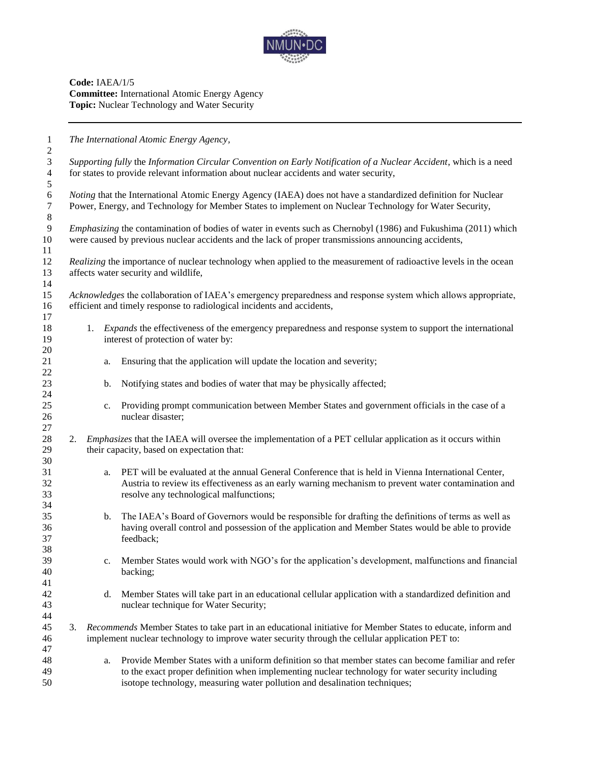

**Code:** IAEA/1/5 **Committee:** International Atomic Energy Agency **Topic:** Nuclear Technology and Water Security

 *The International Atomic Energy Agency, Supporting fully* the *Information Circular Convention on Early Notification of a Nuclear Accident*, which is a need for states to provide relevant information about nuclear accidents and water security,

*6 Noting* that the International Atomic Energy Agency (IAEA) does not have a standardized definition for Nuclear<br>**7** Power, Energy, and Technology for Member States to implement on Nuclear Technology for Water Security, Power, Energy, and Technology for Member States to implement on Nuclear Technology for Water Security,

 *Emphasizing* the contamination of bodies of water in events such as Chernobyl (1986) and Fukushima (2011) which were caused by previous nuclear accidents and the lack of proper transmissions announcing accidents, 

 *Realizing* the importance of nuclear technology when applied to the measurement of radioactive levels in the ocean affects water security and wildlife, 

 *Acknowledges* the collaboration of IAEA's emergency preparedness and response system which allows appropriate, efficient and timely response to radiological incidents and accidents,

- 1. *Expands* the effectiveness of the emergency preparedness and response system to support the international 19 interest of protection of water by:
- a. Ensuring that the application will update the location and severity;
- b. Notifying states and bodies of water that may be physically affected;
- c. Providing prompt communication between Member States and government officials in the case of a nuclear disaster;
- 2. *Emphasizes* that the IAEA will oversee the implementation of a PET cellular application as it occurs within their capacity, based on expectation that:
- a. PET will be evaluated at the annual General Conference that is held in Vienna International Center, Austria to review its effectiveness as an early warning mechanism to prevent water contamination and resolve any technological malfunctions;
- b. The IAEA's Board of Governors would be responsible for drafting the definitions of terms as well as having overall control and possession of the application and Member States would be able to provide feedback;
- c. Member States would work with NGO's for the application's development, malfunctions and financial backing;
- d. Member States will take part in an educational cellular application with a standardized definition and nuclear technique for Water Security;
- 3. *Recommends* Member States to take part in an educational initiative for Member States to educate, inform and implement nuclear technology to improve water security through the cellular application PET to:
- a. Provide Member States with a uniform definition so that member states can become familiar and refer to the exact proper definition when implementing nuclear technology for water security including isotope technology, measuring water pollution and desalination techniques;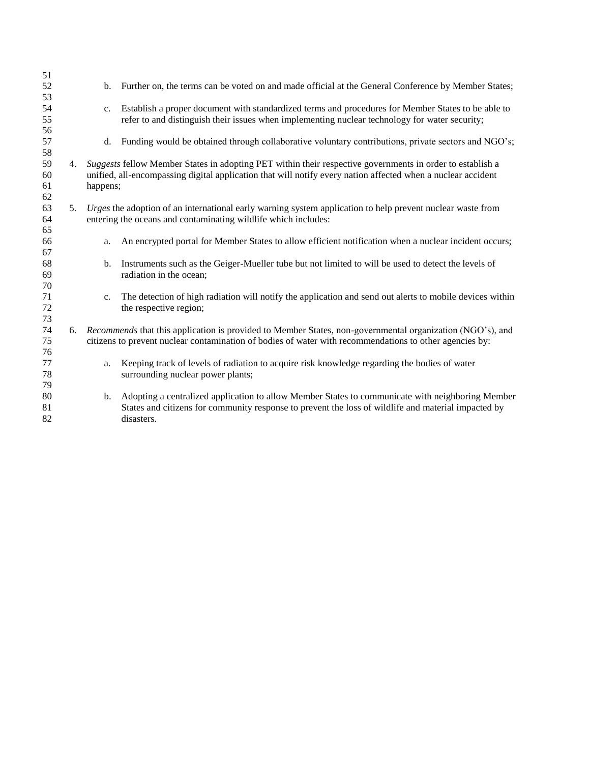|    | $b_{1}$                                                                                                                                                                      | Further on, the terms can be voted on and made official at the General Conference by Member States;                                                                                                                       |  |
|----|------------------------------------------------------------------------------------------------------------------------------------------------------------------------------|---------------------------------------------------------------------------------------------------------------------------------------------------------------------------------------------------------------------------|--|
|    | c.                                                                                                                                                                           | Establish a proper document with standardized terms and procedures for Member States to be able to<br>refer to and distinguish their issues when implementing nuclear technology for water security;                      |  |
|    | d.                                                                                                                                                                           | Funding would be obtained through collaborative voluntary contributions, private sectors and NGO's;                                                                                                                       |  |
| 4. | happens;                                                                                                                                                                     | Suggests fellow Member States in adopting PET within their respective governments in order to establish a<br>unified, all-encompassing digital application that will notify every nation affected when a nuclear accident |  |
| 5. | Urges the adoption of an international early warning system application to help prevent nuclear waste from<br>entering the oceans and contaminating wildlife which includes: |                                                                                                                                                                                                                           |  |
|    | a.                                                                                                                                                                           | An encrypted portal for Member States to allow efficient notification when a nuclear incident occurs;                                                                                                                     |  |
|    | b.                                                                                                                                                                           | Instruments such as the Geiger-Mueller tube but not limited to will be used to detect the levels of<br>radiation in the ocean;                                                                                            |  |
|    | c.                                                                                                                                                                           | The detection of high radiation will notify the application and send out alerts to mobile devices within<br>the respective region;                                                                                        |  |
|    |                                                                                                                                                                              | 6. Recommends that this application is provided to Member States, non-governmental organization (NGO's), and<br>citizens to prevent nuclear contamination of bodies of water with recommendations to other agencies by:   |  |
|    | a.                                                                                                                                                                           | Keeping track of levels of radiation to acquire risk knowledge regarding the bodies of water<br>surrounding nuclear power plants;                                                                                         |  |
|    | $\mathbf{b}$ .                                                                                                                                                               | Adopting a centralized application to allow Member States to communicate with neighboring Member<br>States and citizens for community response to prevent the loss of wildlife and material impacted by<br>disasters.     |  |
|    |                                                                                                                                                                              |                                                                                                                                                                                                                           |  |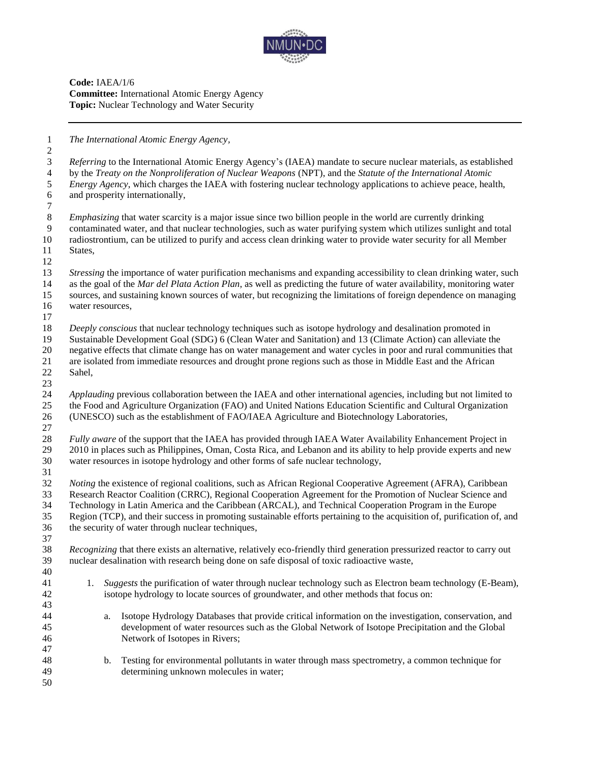

**Code:** IAEA/1/6 **Committee:** International Atomic Energy Agency **Topic:** Nuclear Technology and Water Security

*The International Atomic Energy Agency,*

 *Referring* to the International Atomic Energy Agency's (IAEA) mandate to secure nuclear materials, as established by the *Treaty on the Nonproliferation of Nuclear Weapons* (NPT), and the *Statute of the International Atomic Energy Agency*, which charges the IAEA with fostering nuclear technology applications to achieve peace, health, and prosperity internationally, *Emphasizing* that water scarcity is a major issue since two billion people in the world are currently drinking contaminated water, and that nuclear technologies, such as water purifying system which utilizes sunlight and total radiostrontium, can be utilized to purify and access clean drinking water to provide water security for all Member States, *Stressing* the importance of water purification mechanisms and expanding accessibility to clean drinking water, such as the goal of the *Mar del Plata Action Plan*, as well as predicting the future of water availability, monitoring water sources, and sustaining known sources of water, but recognizing the limitations of foreign dependence on managing water resources, *Deeply conscious* that nuclear technology techniques such as isotope hydrology and desalination promoted in Sustainable Development Goal (SDG) 6 (Clean Water and Sanitation) and 13 (Climate Action) can alleviate the negative effects that climate change has on water management and water cycles in poor and rural communities that are isolated from immediate resources and drought prone regions such as those in Middle East and the African Sahel, *Applauding* previous collaboration between the IAEA and other international agencies, including but not limited to the Food and Agriculture Organization (FAO) and United Nations Education Scientific and Cultural Organization (UNESCO) such as the establishment of FAO/IAEA Agriculture and Biotechnology Laboratories, *Fully aware* of the support that the IAEA has provided through IAEA Water Availability Enhancement Project in 2010 in places such as Philippines, Oman, Costa Rica, and Lebanon and its ability to help provide experts and new water resources in isotope hydrology and other forms of safe nuclear technology, *Noting* the existence of regional coalitions, such as African Regional Cooperative Agreement (AFRA), Caribbean Research Reactor Coalition (CRRC), Regional Cooperation Agreement for the Promotion of Nuclear Science and Technology in Latin America and the Caribbean (ARCAL), and Technical Cooperation Program in the Europe Region (TCP), and their success in promoting sustainable efforts pertaining to the acquisition of, purification of, and the security of water through nuclear techniques, *Recognizing* that there exists an alternative, relatively eco-friendly third generation pressurized reactor to carry out nuclear desalination with research being done on safe disposal of toxic radioactive waste, 1. *Suggests* the purification of water through nuclear technology such as Electron beam technology (E-Beam), isotope hydrology to locate sources of groundwater, and other methods that focus on: a. Isotope Hydrology Databases that provide critical information on the investigation, conservation, and development of water resources such as the Global Network of Isotope Precipitation and the Global Network of Isotopes in Rivers; b. Testing for environmental pollutants in water through mass spectrometry, a common technique for determining unknown molecules in water;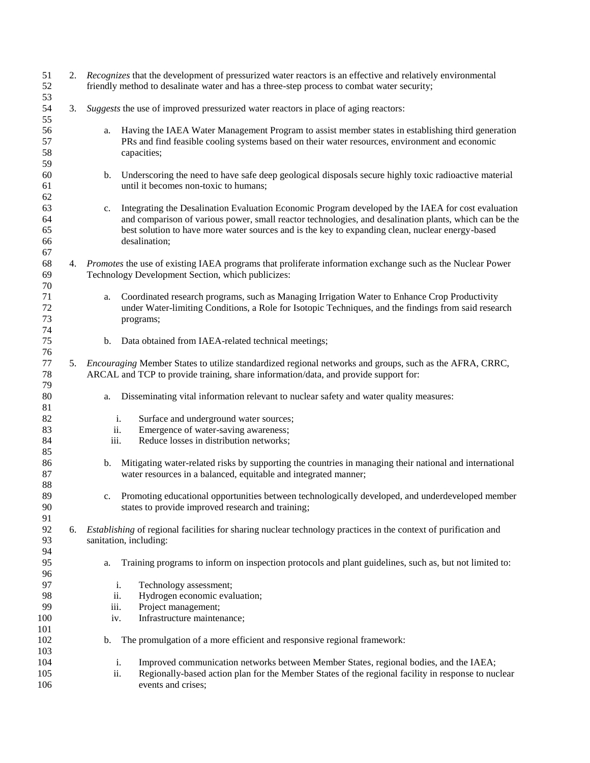| 51<br>52<br>53             |    | 2. Recognizes that the development of pressurized water reactors is an effective and relatively environmental<br>friendly method to desalinate water and has a three-step process to combat water security; |                                                                                                                                                                                                                                                                                                                                   |  |
|----------------------------|----|-------------------------------------------------------------------------------------------------------------------------------------------------------------------------------------------------------------|-----------------------------------------------------------------------------------------------------------------------------------------------------------------------------------------------------------------------------------------------------------------------------------------------------------------------------------|--|
| 54<br>55                   | 3. | Suggests the use of improved pressurized water reactors in place of aging reactors:                                                                                                                         |                                                                                                                                                                                                                                                                                                                                   |  |
| 56<br>57<br>58<br>59       |    | a.                                                                                                                                                                                                          | Having the IAEA Water Management Program to assist member states in establishing third generation<br>PRs and find feasible cooling systems based on their water resources, environment and economic<br>capacities;                                                                                                                |  |
| 60<br>61<br>62             |    | b.                                                                                                                                                                                                          | Underscoring the need to have safe deep geological disposals secure highly toxic radioactive material<br>until it becomes non-toxic to humans;                                                                                                                                                                                    |  |
| 63<br>64<br>65<br>66<br>67 |    | $c_{\cdot}$                                                                                                                                                                                                 | Integrating the Desalination Evaluation Economic Program developed by the IAEA for cost evaluation<br>and comparison of various power, small reactor technologies, and desalination plants, which can be the<br>best solution to have more water sources and is the key to expanding clean, nuclear energy-based<br>desalination; |  |
| 68<br>69<br>70             |    |                                                                                                                                                                                                             | 4. Promotes the use of existing IAEA programs that proliferate information exchange such as the Nuclear Power<br>Technology Development Section, which publicizes:                                                                                                                                                                |  |
| 71<br>72<br>73<br>74       |    | a.                                                                                                                                                                                                          | Coordinated research programs, such as Managing Irrigation Water to Enhance Crop Productivity<br>under Water-limiting Conditions, a Role for Isotopic Techniques, and the findings from said research<br>programs;                                                                                                                |  |
| 75<br>76                   |    | b.                                                                                                                                                                                                          | Data obtained from IAEA-related technical meetings;                                                                                                                                                                                                                                                                               |  |
| 77<br>78<br>79             | 5. |                                                                                                                                                                                                             | Encouraging Member States to utilize standardized regional networks and groups, such as the AFRA, CRRC,<br>ARCAL and TCP to provide training, share information/data, and provide support for:                                                                                                                                    |  |
| 80<br>81                   |    | a.                                                                                                                                                                                                          | Disseminating vital information relevant to nuclear safety and water quality measures:                                                                                                                                                                                                                                            |  |
| 82                         |    | i.                                                                                                                                                                                                          | Surface and underground water sources;                                                                                                                                                                                                                                                                                            |  |
| 83                         |    | ii.                                                                                                                                                                                                         | Emergence of water-saving awareness;                                                                                                                                                                                                                                                                                              |  |
| 84                         |    | iii.                                                                                                                                                                                                        | Reduce losses in distribution networks;                                                                                                                                                                                                                                                                                           |  |
| 85                         |    |                                                                                                                                                                                                             |                                                                                                                                                                                                                                                                                                                                   |  |
| 86<br>87<br>88             |    | b.                                                                                                                                                                                                          | Mitigating water-related risks by supporting the countries in managing their national and international<br>water resources in a balanced, equitable and integrated manner;                                                                                                                                                        |  |
| 89<br>90<br>91             |    | c.                                                                                                                                                                                                          | Promoting educational opportunities between technologically developed, and underdeveloped member<br>states to provide improved research and training;                                                                                                                                                                             |  |
| 92<br>93                   | 6. |                                                                                                                                                                                                             | <i>Establishing</i> of regional facilities for sharing nuclear technology practices in the context of purification and<br>sanitation, including:                                                                                                                                                                                  |  |
| 94                         |    |                                                                                                                                                                                                             |                                                                                                                                                                                                                                                                                                                                   |  |
| 95<br>96                   |    | a.                                                                                                                                                                                                          | Training programs to inform on inspection protocols and plant guidelines, such as, but not limited to:                                                                                                                                                                                                                            |  |
| 97                         |    | i.                                                                                                                                                                                                          | Technology assessment;                                                                                                                                                                                                                                                                                                            |  |
| 98                         |    | ii.                                                                                                                                                                                                         | Hydrogen economic evaluation;                                                                                                                                                                                                                                                                                                     |  |
| 99                         |    | iii.                                                                                                                                                                                                        | Project management;                                                                                                                                                                                                                                                                                                               |  |
| 100                        |    | iv.                                                                                                                                                                                                         | Infrastructure maintenance;                                                                                                                                                                                                                                                                                                       |  |
| 101                        |    |                                                                                                                                                                                                             |                                                                                                                                                                                                                                                                                                                                   |  |
| 102                        |    | b.                                                                                                                                                                                                          | The promulgation of a more efficient and responsive regional framework:                                                                                                                                                                                                                                                           |  |
| 103                        |    |                                                                                                                                                                                                             |                                                                                                                                                                                                                                                                                                                                   |  |
| 104                        |    | i.                                                                                                                                                                                                          | Improved communication networks between Member States, regional bodies, and the IAEA;                                                                                                                                                                                                                                             |  |
| 105<br>106                 |    | ii.                                                                                                                                                                                                         | Regionally-based action plan for the Member States of the regional facility in response to nuclear<br>events and crises;                                                                                                                                                                                                          |  |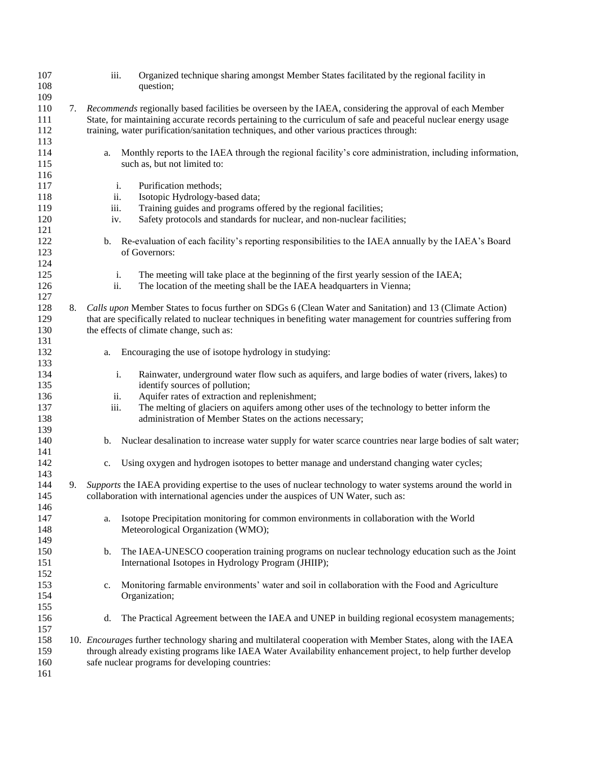| 107<br>108<br>109        |    | iii.                     | Organized technique sharing amongst Member States facilitated by the regional facility in<br>question;                                                                                                                                                                                                                |
|--------------------------|----|--------------------------|-----------------------------------------------------------------------------------------------------------------------------------------------------------------------------------------------------------------------------------------------------------------------------------------------------------------------|
| 110<br>111<br>112<br>113 | 7. |                          | Recommends regionally based facilities be overseen by the IAEA, considering the approval of each Member<br>State, for maintaining accurate records pertaining to the curriculum of safe and peaceful nuclear energy usage<br>training, water purification/sanitation techniques, and other various practices through: |
| 114<br>115<br>116        |    | a.                       | Monthly reports to the IAEA through the regional facility's core administration, including information,<br>such as, but not limited to:                                                                                                                                                                               |
| 117<br>118<br>119<br>120 |    | i.<br>ii.<br>iii.<br>iv. | Purification methods;<br>Isotopic Hydrology-based data;<br>Training guides and programs offered by the regional facilities;<br>Safety protocols and standards for nuclear, and non-nuclear facilities;                                                                                                                |
| 121<br>122<br>123        |    | b.                       | Re-evaluation of each facility's reporting responsibilities to the IAEA annually by the IAEA's Board<br>of Governors:                                                                                                                                                                                                 |
| 124<br>125<br>126<br>127 |    | i.<br>ii.                | The meeting will take place at the beginning of the first yearly session of the IAEA;<br>The location of the meeting shall be the IAEA headquarters in Vienna;                                                                                                                                                        |
| 128<br>129<br>130        | 8. |                          | Calls upon Member States to focus further on SDGs 6 (Clean Water and Sanitation) and 13 (Climate Action)<br>that are specifically related to nuclear techniques in benefiting water management for countries suffering from<br>the effects of climate change, such as:                                                |
| 131<br>132<br>133        |    | a.                       | Encouraging the use of isotope hydrology in studying:                                                                                                                                                                                                                                                                 |
| 134<br>135               |    | i.                       | Rainwater, underground water flow such as aquifers, and large bodies of water (rivers, lakes) to<br>identify sources of pollution;                                                                                                                                                                                    |
| 136<br>137<br>138<br>139 |    | ii.<br>iii.              | Aquifer rates of extraction and replenishment;<br>The melting of glaciers on aquifers among other uses of the technology to better inform the<br>administration of Member States on the actions necessary;                                                                                                            |
| 140<br>141               |    | b.                       | Nuclear desalination to increase water supply for water scarce countries near large bodies of salt water;                                                                                                                                                                                                             |
| 142<br>143               |    | $c_{\cdot}$              | Using oxygen and hydrogen isotopes to better manage and understand changing water cycles;                                                                                                                                                                                                                             |
| 144<br>145<br>146        | 9. |                          | Supports the IAEA providing expertise to the uses of nuclear technology to water systems around the world in<br>collaboration with international agencies under the auspices of UN Water, such as:                                                                                                                    |
| 147<br>148<br>149        |    | a.                       | Isotope Precipitation monitoring for common environments in collaboration with the World<br>Meteorological Organization (WMO);                                                                                                                                                                                        |
| 150<br>151<br>152        |    | $\mathbf{b}$ .           | The IAEA-UNESCO cooperation training programs on nuclear technology education such as the Joint<br>International Isotopes in Hydrology Program (JHIIP);                                                                                                                                                               |
| 153<br>154<br>155        |    | c.                       | Monitoring farmable environments' water and soil in collaboration with the Food and Agriculture<br>Organization;                                                                                                                                                                                                      |
| 156<br>157               |    | d.                       | The Practical Agreement between the IAEA and UNEP in building regional ecosystem managements;                                                                                                                                                                                                                         |
| 158<br>159<br>160<br>161 |    |                          | 10. Encourages further technology sharing and multilateral cooperation with Member States, along with the IAEA<br>through already existing programs like IAEA Water Availability enhancement project, to help further develop<br>safe nuclear programs for developing countries:                                      |